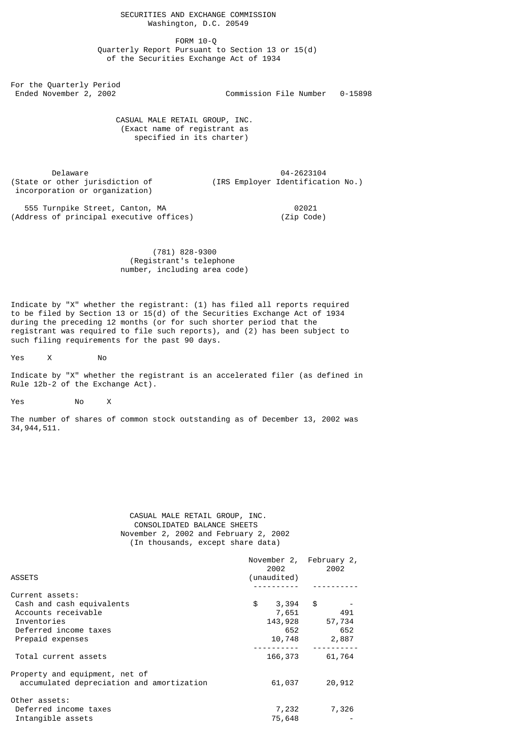FORM 10-Q Quarterly Report Pursuant to Section 13 or 15(d) of the Securities Exchange Act of 1934

For the Quarterly Period

Ended November 2, 2002 Commission File Number 0-15898

 CASUAL MALE RETAIL GROUP, INC. (Exact name of registrant as specified in its charter)

 Delaware 04-2623104 incorporation or organization)

(IRS Employer Identification No.)

555 Turnpike Street, Canton, MA<br>|dress of principal executive offices) (Zip Code) (Address of principal executive offices)

# (781) 828-9300 (Registrant's telephone number, including area code)

Indicate by "X" whether the registrant: (1) has filed all reports required to be filed by Section 13 or  $15(d)$  of the Securities Exchange Act of 1934 during the preceding 12 months (or for such shorter period that the registrant was required to file such reports), and (2) has been subject to such filing requirements for the past 90 days.

Yes X No

Indicate by "X" whether the registrant is an accelerated filer (as defined in Rule 12b-2 of the Exchange Act).

Yes No X

The number of shares of common stock outstanding as of December 13, 2002 was 34,944,511.

# CASUAL MALE RETAIL GROUP, INC. CONSOLIDATED BALANCE SHEETS November 2, 2002 and February 2, 2002 (In thousands, except share data)

|                                           | November 2, February 2,<br>2002 | 2002   |
|-------------------------------------------|---------------------------------|--------|
| <b>ASSETS</b>                             | (unaudited)                     |        |
|                                           |                                 |        |
| Current assets:                           |                                 |        |
| Cash and cash equivalents                 | \$<br>$3,394$ \$                |        |
| Accounts receivable                       | 7,651                           | 491    |
| Inventories                               | 143,928                         | 57,734 |
| Deferred income taxes                     | 652                             | 652    |
| Prepaid expenses                          | 10,748                          | 2,887  |
| Total current assets                      | 166,373                         | 61,764 |
| Property and equipment, net of            |                                 |        |
| accumulated depreciation and amortization | 61,037                          | 20,912 |
| Other assets:                             |                                 |        |
| Deferred income taxes                     | 7,232                           | 7,326  |
| Intangible assets                         | 75,648                          |        |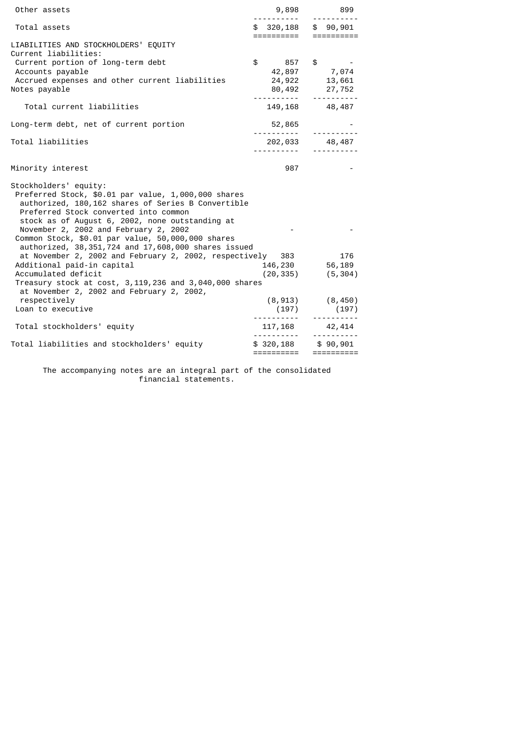| Other assets                                                                                                                                                                                                                                                            | 9,898<br>.                                        | 899                       |
|-------------------------------------------------------------------------------------------------------------------------------------------------------------------------------------------------------------------------------------------------------------------------|---------------------------------------------------|---------------------------|
| Total assets                                                                                                                                                                                                                                                            | $$320,188$ \$ 90,901<br>======================    |                           |
| LIABILITIES AND STOCKHOLDERS' EQUITY<br>Current liabilities:                                                                                                                                                                                                            |                                                   |                           |
| Current portion of long-term debt<br>Accounts payable                                                                                                                                                                                                                   | $$857$ \$ -                                       |                           |
| Accrued expenses and other current liabilities<br>Notes payable                                                                                                                                                                                                         | 42,897 7,074<br>24,922 13,661                     | 80, 492 27, 752           |
| Total current liabilities                                                                                                                                                                                                                                               | 149,168 48,487                                    |                           |
| Long-term debt, net of current portion                                                                                                                                                                                                                                  | 52,865<br><u> - - - - - - - - - - -</u>           |                           |
| Total liabilities                                                                                                                                                                                                                                                       | 202,033 48,487<br><u> - - - - - - - - - - - -</u> |                           |
|                                                                                                                                                                                                                                                                         |                                                   |                           |
| Minority interest                                                                                                                                                                                                                                                       | 987                                               |                           |
| Stockholders' equity:<br>Preferred Stock, \$0.01 par value, 1,000,000 shares<br>authorized, 180,162 shares of Series B Convertible<br>Preferred Stock converted into common<br>stock as of August 6, 2002, none outstanding at<br>November 2, 2002 and February 2, 2002 |                                                   |                           |
| Common Stock, \$0.01 par value, 50,000,000 shares<br>authorized, 38, 351, 724 and 17, 608, 000 shares issued                                                                                                                                                            |                                                   |                           |
| at November 2, 2002 and February 2, 2002, respectively 383 176                                                                                                                                                                                                          |                                                   |                           |
| Additional paid-in capital<br>Accumulated deficit                                                                                                                                                                                                                       | 146,230 56,189<br>$(20, 335)$ $(5, 304)$          |                           |
| Treasury stock at cost, 3,119,236 and 3,040,000 shares                                                                                                                                                                                                                  |                                                   |                           |
| at November 2, 2002 and February 2, 2002,<br>respectively                                                                                                                                                                                                               |                                                   | $(8, 913)$ $(8, 450)$     |
| Loan to executive                                                                                                                                                                                                                                                       | (197)                                             | (197)                     |
| Total stockholders' equity                                                                                                                                                                                                                                              | <u> 1111111111 - 111111111</u><br>117,168 42,414  |                           |
| Total liabilities and stockholders' equity                                                                                                                                                                                                                              | $$320,188$ $$90,901$<br>==========                | <u> - - - - - - - -</u> . |

 The accompanying notes are an integral part of the consolidated financial statements.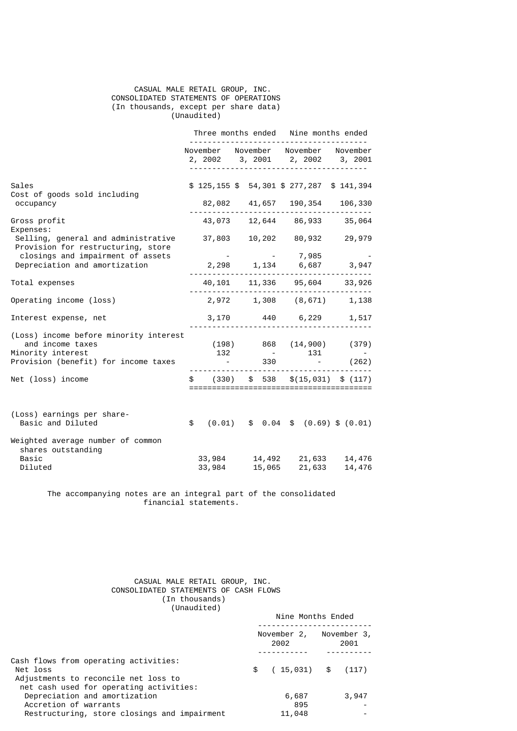# CASUAL MALE RETAIL GROUP, INC. CONSOLIDATED STATEMENTS OF OPERATIONS (In thousands, except per share data) (Unaudited)

|                                                                                 |    |                       |  |    | Three months ended Nine months ended |  |                                    |  |                                                                        |
|---------------------------------------------------------------------------------|----|-----------------------|--|----|--------------------------------------|--|------------------------------------|--|------------------------------------------------------------------------|
|                                                                                 |    |                       |  |    |                                      |  |                                    |  | November November November November<br>2, 2002 3, 2001 2, 2002 3, 2001 |
| Sales                                                                           |    |                       |  |    |                                      |  |                                    |  | $$125,155$ \$ 54,301 \$ 277,287 \$ 141,394                             |
| Cost of goods sold including<br>occupancy                                       |    | 82,082 41,657 190,354 |  |    |                                      |  |                                    |  | 106,330                                                                |
| Gross profit<br>Expenses:                                                       |    |                       |  |    |                                      |  |                                    |  | 43,073 12,644 86,933 35,064                                            |
| Selling, general and administrative<br>Provision for restructuring, store       |    |                       |  |    |                                      |  |                                    |  | 37,803 10,202 80,932 29,979                                            |
| closings and impairment of assets<br>Depreciation and amortization              |    |                       |  |    |                                      |  | $-7,985$                           |  | 2,298 1,134 6,687 3,947                                                |
| Total expenses                                                                  |    |                       |  |    |                                      |  |                                    |  | 40, 101 11, 336 95, 604 33, 926                                        |
| Operating income (loss)                                                         |    |                       |  |    |                                      |  |                                    |  | 2,972 1,308 (8,671) 1,138                                              |
| Interest expense, net                                                           |    |                       |  |    |                                      |  | 3,170 440 6,229                    |  | 1,517                                                                  |
| (Loss) income before minority interest<br>and income taxes<br>Minority interest |    | 132                   |  |    |                                      |  | 131                                |  | $(198)$ 868 $(14,900)$ (379)                                           |
| Provision (benefit) for income taxes                                            |    |                       |  |    | 330                                  |  |                                    |  | (262)                                                                  |
| Net (loss) income                                                               | \$ | (330)                 |  | \$ | 538                                  |  |                                    |  | \$(15, 031) \$ (117)                                                   |
| (Loss) earnings per share-<br>Basic and Diluted                                 | \$ |                       |  |    |                                      |  |                                    |  | $(0.01)$ \$ 0.04 \$ $(0.69)$ \$ $(0.01)$                               |
| Weighted average number of common<br>shares outstanding<br>Basic<br>Diluted     |    | 33,984<br>33,984      |  |    |                                      |  | 14,492 21,633<br>$15,065$ $21,633$ |  | 14,476<br>14,476                                                       |

 The accompanying notes are an integral part of the consolidated financial statements.

> CASUAL MALE RETAIL GROUP, INC. CONSOLIDATED STATEMENTS OF CASH FLOWS (In thousands) (Unaudited)

|                                                                                                                                      | Nine Months Ended   |                     |  |  |  |  |
|--------------------------------------------------------------------------------------------------------------------------------------|---------------------|---------------------|--|--|--|--|
|                                                                                                                                      | November 2,<br>2002 | November 3,<br>2001 |  |  |  |  |
| Cash flows from operating activities:<br>Net loss<br>Adjustments to reconcile net loss to<br>net cash used for operating activities: | $(15,031)$ \$<br>\$ | (117)               |  |  |  |  |
| Depreciation and amortization<br>Accretion of warrants                                                                               | 6,687<br>895        | 3,947               |  |  |  |  |
| Restructuring, store closings and impairment                                                                                         | 11,048              |                     |  |  |  |  |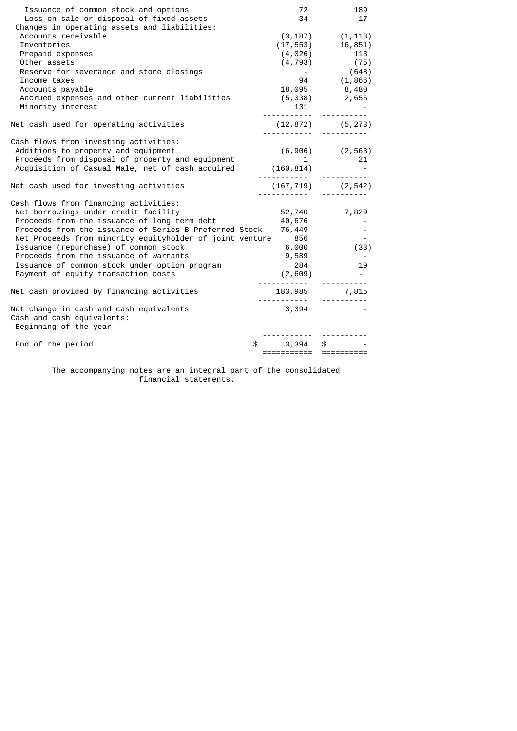| Issuance of common stock and options<br>Loss on sale or disposal of fixed assets<br>Changes in operating assets and liabilities: | 72<br>34                | 189<br>17                                                                  |
|----------------------------------------------------------------------------------------------------------------------------------|-------------------------|----------------------------------------------------------------------------|
| Accounts receivable<br>Inventories                                                                                               |                         | $(3, 187)$ $(1, 118)$                                                      |
| Prepaid expenses                                                                                                                 |                         |                                                                            |
| Other assets                                                                                                                     |                         | $(17, 553)$ $16, 851)$<br>$(4, 026)$ $113$<br>$(4, 793)$ $(75)$<br>$(648)$ |
| Reserve for severance and store closings                                                                                         | $\sim 100$              | (648)                                                                      |
| Income taxes                                                                                                                     |                         | 94 (1,866)                                                                 |
| Accounts payable                                                                                                                 | 18,095                  | 8,480                                                                      |
| Accrued expenses and other current liabilities                                                                                   |                         | $(5,338)$ 2,656                                                            |
| Minority interest                                                                                                                | 131<br><u> </u>         |                                                                            |
| Net cash used for operating activities                                                                                           |                         | $(12, 872)$ $(5, 273)$                                                     |
| Cash flows from investing activities:                                                                                            |                         |                                                                            |
| Additions to property and equipment                                                                                              |                         | $(6,906)$ $(2,563)$                                                        |
| Proceeds from disposal of property and equipment                                                                                 | 1                       | 21                                                                         |
| Acquisition of Casual Male, net of cash acquired                                                                                 | (160, 814)              |                                                                            |
| Net cash used for investing activities                                                                                           |                         | $(167, 719)$ $(2, 542)$                                                    |
| Cash flows from financing activities:                                                                                            |                         |                                                                            |
| Net borrowings under credit facility                                                                                             | 52,740                  | 7,829                                                                      |
| Proceeds from the issuance of long term debt                                                                                     | 40,676                  |                                                                            |
| Proceeds from the issuance of Series B Preferred Stock                                                                           | 76,449                  |                                                                            |
| Net Proceeds from minority equityholder of joint venture                                                                         | 856                     |                                                                            |
| Issuance (repurchase) of common stock                                                                                            | 6,000                   | (33)                                                                       |
| Proceeds from the issuance of warrants                                                                                           | 9,589                   |                                                                            |
| Issuance of common stock under option program                                                                                    | 284                     | 19                                                                         |
| Payment of equity transaction costs                                                                                              | (2,609)                 |                                                                            |
| Net cash provided by financing activities                                                                                        | 183,985                 | 7,815                                                                      |
| Net change in cash and cash equivalents                                                                                          | 3,394                   |                                                                            |
| Cash and cash equivalents:                                                                                                       |                         |                                                                            |
| Beginning of the year                                                                                                            |                         |                                                                            |
|                                                                                                                                  |                         |                                                                            |
| End of the period                                                                                                                | \$<br>3,394             | $$^{\circ}$                                                                |
|                                                                                                                                  | ======================= |                                                                            |

 The accompanying notes are an integral part of the consolidated financial statements.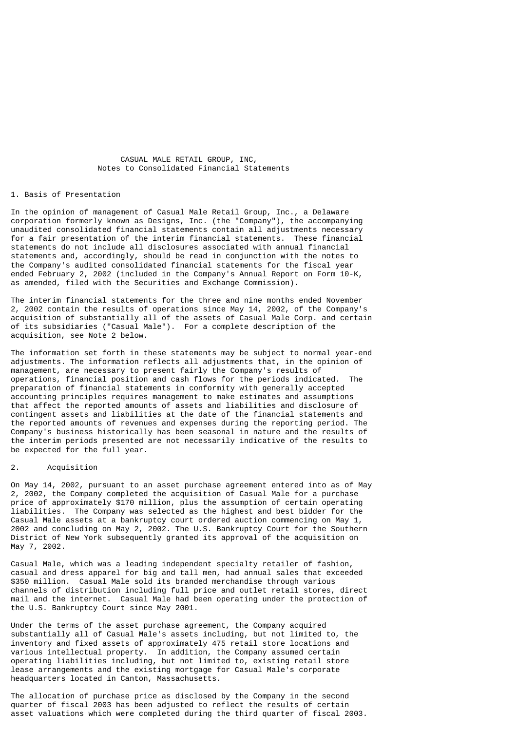CASUAL MALE RETAIL GROUP, INC, Notes to Consolidated Financial Statements

### 1. Basis of Presentation

In the opinion of management of Casual Male Retail Group, Inc., a Delaware corporation formerly known as Designs, Inc. (the "Company"), the accompanying unaudited consolidated financial statements contain all adjustments necessary for a fair presentation of the interim financial statements. These financial statements do not include all disclosures associated with annual financial statements and, accordingly, should be read in conjunction with the notes to the Company's audited consolidated financial statements for the fiscal year ended February 2, 2002 (included in the Company's Annual Report on Form 10-K, as amended, filed with the Securities and Exchange Commission).

The interim financial statements for the three and nine months ended November 2, 2002 contain the results of operations since May 14, 2002, of the Company's acquisition of substantially all of the assets of Casual Male Corp. and certain of its subsidiaries ("Casual Male"). For a complete description of the acquisition, see Note 2 below.

The information set forth in these statements may be subject to normal year-end adjustments. The information reflects all adjustments that, in the opinion of management, are necessary to present fairly the Company's results of operations, financial position and cash flows for the periods indicated. The preparation of financial statements in conformity with generally accepted accounting principles requires management to make estimates and assumptions that affect the reported amounts of assets and liabilities and disclosure of contingent assets and liabilities at the date of the financial statements and the reported amounts of revenues and expenses during the reporting period. The Company's business historically has been seasonal in nature and the results of the interim periods presented are not necessarily indicative of the results to be expected for the full year.

### 2. Acquisition

On May 14, 2002, pursuant to an asset purchase agreement entered into as of May 2, 2002, the Company completed the acquisition of Casual Male for a purchase price of approximately \$170 million, plus the assumption of certain operating liabilities. The Company was selected as the highest and best bidder for the Casual Male assets at a bankruptcy court ordered auction commencing on May 1, 2002 and concluding on May 2, 2002. The U.S. Bankruptcy Court for the Southern District of New York subsequently granted its approval of the acquisition on May 7, 2002.

Casual Male, which was a leading independent specialty retailer of fashion, casual and dress apparel for big and tall men, had annual sales that exceeded \$350 million. Casual Male sold its branded merchandise through various channels of distribution including full price and outlet retail stores, direct mail and the internet. Casual Male had been operating under the protection of the U.S. Bankruptcy Court since May 2001.

Under the terms of the asset purchase agreement, the Company acquired substantially all of Casual Male's assets including, but not limited to, the inventory and fixed assets of approximately 475 retail store locations and various intellectual property. In addition, the Company assumed certain operating liabilities including, but not limited to, existing retail store lease arrangements and the existing mortgage for Casual Male's corporate headquarters located in Canton, Massachusetts.

The allocation of purchase price as disclosed by the Company in the second quarter of fiscal 2003 has been adjusted to reflect the results of certain asset valuations which were completed during the third quarter of fiscal 2003.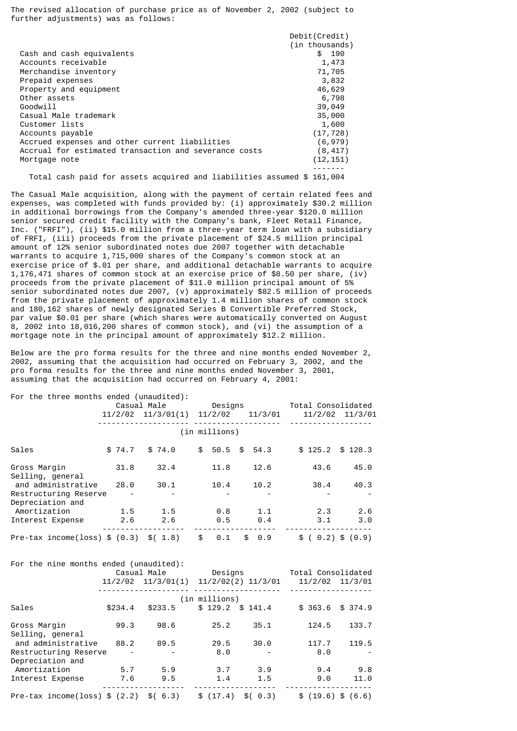The revised allocation of purchase price as of November 2, 2002 (subject to further adjustments) was as follows:

|                                                       | Debit(Credit)  |
|-------------------------------------------------------|----------------|
|                                                       | (in thousands) |
| Cash and cash equivalents                             | \$190          |
| Accounts receivable                                   | 1,473          |
| Merchandise inventory                                 | 71,705         |
| Prepaid expenses                                      | 3,832          |
| Property and equipment                                | 46,629         |
| Other assets                                          | 6,798          |
| Goodwill                                              | 39,049         |
| Casual Male trademark                                 | 35,000         |
| Customer lists                                        | 1,600          |
| Accounts payable                                      | (17, 728)      |
| Accrued expenses and other current liabilities        | (6, 979)       |
| Accrual for estimated transaction and severance costs | (8, 417)       |
| Mortgage note                                         | (12, 151)      |
|                                                       |                |

Total cash paid for assets acquired and liabilities assumed \$ 161,004

The Casual Male acquisition, along with the payment of certain related fees and expenses, was completed with funds provided by: (i) approximately \$30.2 million in additional borrowings from the Company's amended three-year \$120.0 million senior secured credit facility with the Company's bank, Fleet Retail Finance, Inc. ("FRFI"), (ii) \$15.0 million from a three-year term loan with a subsidiary of FRFI, (iii) proceeds from the private placement of \$24.5 million principal amount of 12% senior subordinated notes due 2007 together with detachable warrants to acquire 1,715,000 shares of the Company's common stock at an exercise price of \$.01 per share, and additional detachable warrants to acquire 1,176,471 shares of common stock at an exercise price of \$8.50 per share, (iv) proceeds from the private placement of \$11.0 million principal amount of 5% senior subordinated notes due 2007, (v) approximately \$82.5 million of proceeds from the private placement of approximately 1.4 million shares of common stock and 180,162 shares of newly designated Series B Convertible Preferred Stock, par value \$0.01 per share (which shares were automatically converted on August 8, 2002 into 18,016,200 shares of common stock), and (vi) the assumption of a mortgage note in the principal amount of approximately \$12.2 million.

Below are the pro forma results for the three and nine months ended November 2, 2002, assuming that the acquisition had occurred on February 3, 2002, and the pro forma results for the three and nine months ended November 3, 2001, assuming that the acquisition had occurred on February 4, 2001:

| For the three months ended (unaudited): |  |             |                        |               |    |           |                    |         |                   |
|-----------------------------------------|--|-------------|------------------------|---------------|----|-----------|--------------------|---------|-------------------|
|                                         |  | Casual Male |                        | Designs       |    |           | Total Consolidated |         |                   |
|                                         |  |             | $11/2/02$ $11/3/01(1)$ | 11/2/02       |    | 11/3/01   |                    |         | 11/2/02 11/3/01   |
|                                         |  |             |                        | (in millions) |    |           |                    |         |                   |
| Sales                                   |  | \$74.7      | \$74.0                 | \$<br>50.5    | \$ | 54.3      |                    | \$125.2 | \$128.3           |
| Gross Margin<br>Selling, general        |  | 31.8        | 32.4                   | 11.8          |    | 12.6      |                    | 43.6    | 45.0              |
| and administrative                      |  | 28.0        | 30.1                   | 10.4          |    | 10.2      |                    | 38.4    | 40.3              |
| Restructuring Reserve                   |  |             |                        |               |    |           |                    |         |                   |
| Depreciation and                        |  |             |                        |               |    |           |                    |         |                   |
| Amortization                            |  | 1.5         | 1.5                    | 0.8           |    | 1.1       |                    | 2.3     | 2.6               |
| Interest Expense                        |  | 2.6         | 2.6                    | 0.5           |    | 0.4       |                    | 3.1     | 3.0               |
| Pre-tax income(loss) $$ (0.3)$          |  |             | \$(1.8)                | \$<br>0.1     |    | 0.9<br>\$ | \$                 |         | $0.2)$ \$ $(0.9)$ |

| For the nine months ended (unaudited): |         |                        |                     |                    |
|----------------------------------------|---------|------------------------|---------------------|--------------------|
|                                        |         | Casual Male            | Designs             | Total Consolidated |
|                                        |         | $11/2/02$ $11/3/01(1)$ | 11/2/02(2) 11/3/01  | 11/2/02 11/3/01    |
|                                        |         |                        | (in millions)       |                    |
| Sales                                  | \$234.4 | \$233.5                | $$129.2$ $$141.4$   | \$363.6<br>\$374.9 |
| Gross Margin                           | 99.3    | 98.6                   | 25.2<br>35.1        | 133.7<br>124.5     |
| Selling, general                       |         |                        |                     |                    |
| and administrative                     | 88.2    | 89.5                   | 29.5<br>30.0        | 119.5<br>117.7     |
| Restructuring Reserve                  |         |                        | 8.0                 | 8.0                |
| Depreciation and                       |         |                        |                     |                    |
| Amortization                           | 5.7     | 5.9                    | 3.9<br>3.7          | 9.4<br>9.8         |
| Interest Expense                       | 7.6     | 9.5                    | 1.5<br>1.4          | 11.0<br>9.0        |
| Pre-tax income(loss) $$ (2.2)$         |         | \$(6.3)                | \$(17.4)<br>\$(0.3) | \$(19.6) \$(6.6)   |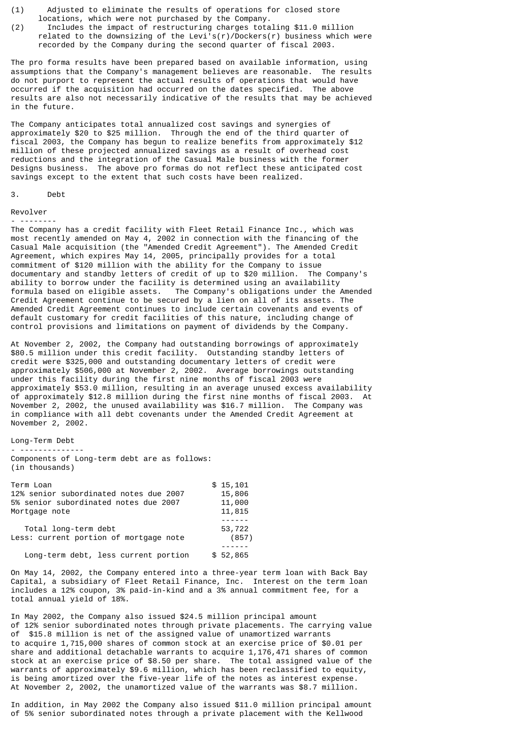- (1) Adjusted to eliminate the results of operations for closed store locations, which were not purchased by the Company.<br>(2) Includes the impact of restructuring charges tota
- Includes the impact of restructuring charges totaling \$11.0 million related to the downsizing of the Levi's(r)/Dockers(r) business which were recorded by the Company during the second quarter of fiscal 2003.

The pro forma results have been prepared based on available information, using assumptions that the Company's management believes are reasonable. The results do not purport to represent the actual results of operations that would have occurred if the acquisition had occurred on the dates specified. The above results are also not necessarily indicative of the results that may be achieved in the future.

The Company anticipates total annualized cost savings and synergies of approximately \$20 to \$25 million. Through the end of the third quarter of fiscal 2003, the Company has begun to realize benefits from approximately \$12 million of these projected annualized savings as a result of overhead cost reductions and the integration of the Casual Male business with the former Designs business. The above pro formas do not reflect these anticipated cost savings except to the extent that such costs have been realized.

### 3. Debt

#### Revolver - --------

The Company has a credit facility with Fleet Retail Finance Inc., which was most recently amended on May 4, 2002 in connection with the financing of the Casual Male acquisition (the "Amended Credit Agreement"). The Amended Credit Agreement, which expires May 14, 2005, principally provides for a total commitment of \$120 million with the ability for the Company to issue documentary and standby letters of credit of up to \$20 million. The Company's ability to borrow under the facility is determined using an availability formula based on eligible assets. The Company's obligations under the Amended Credit Agreement continue to be secured by a lien on all of its assets. The Amended Credit Agreement continues to include certain covenants and events of default customary for credit facilities of this nature, including change of control provisions and limitations on payment of dividends by the Company.

At November 2, 2002, the Company had outstanding borrowings of approximately \$80.5 million under this credit facility. Outstanding standby letters of credit were \$325,000 and outstanding documentary letters of credit were approximately \$506,000 at November 2, 2002. Average borrowings outstanding under this facility during the first nine months of fiscal 2003 were approximately \$53.0 million, resulting in an average unused excess availability of approximately \$12.8 million during the first nine months of fiscal 2003. At November 2, 2002, the unused availability was \$16.7 million. The Company was in compliance with all debt covenants under the Amended Credit Agreement at November 2, 2002.

# Long-Term Debt

- -------------- Components of Long-term debt are as follows: (in thousands)

| Term Loan                              | \$15,101 |
|----------------------------------------|----------|
| 12% senior subordinated notes due 2007 | 15,806   |
| 5% senior subordinated notes due 2007  | 11,000   |
| Mortgage note                          | 11,815   |
|                                        |          |
| Total long-term debt                   | 53,722   |
| Less: current portion of mortgage note | (857)    |
|                                        |          |
| Long-term debt, less current portion   | \$52,865 |

On May 14, 2002, the Company entered into a three-year term loan with Back Bay Capital, a subsidiary of Fleet Retail Finance, Inc. Interest on the term loan includes a 12% coupon, 3% paid-in-kind and a 3% annual commitment fee, for a total annual yield of 18%.

In May 2002, the Company also issued \$24.5 million principal amount of 12% senior subordinated notes through private placements. The carrying value of \$15.8 million is net of the assigned value of unamortized warrants to acquire 1,715,000 shares of common stock at an exercise price of \$0.01 per share and additional detachable warrants to acquire 1,176,471 shares of common stock at an exercise price of \$8.50 per share. The total assigned value of the warrants of approximately \$9.6 million, which has been reclassified to equity, is being amortized over the five-year life of the notes as interest expense. At November 2, 2002, the unamortized value of the warrants was \$8.7 million.

In addition, in May 2002 the Company also issued \$11.0 million principal amount of 5% senior subordinated notes through a private placement with the Kellwood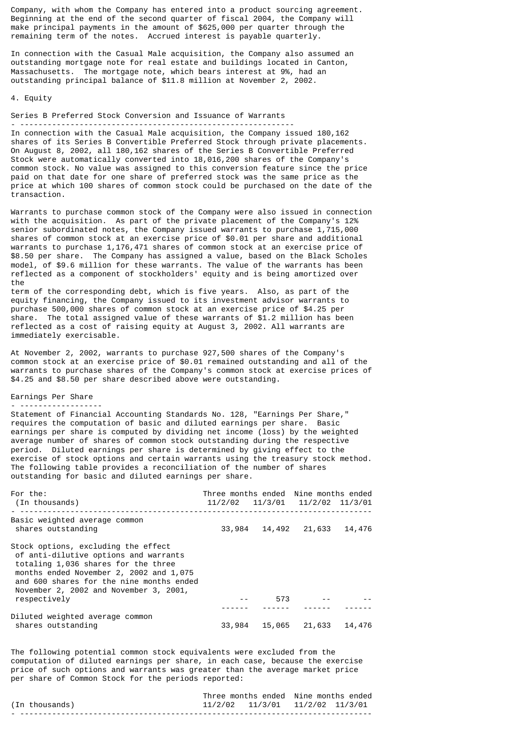Company, with whom the Company has entered into a product sourcing agreement. Beginning at the end of the second quarter of fiscal 2004, the Company will make principal payments in the amount of \$625,000 per quarter through the remaining term of the notes. Accrued interest is payable quarterly.

In connection with the Casual Male acquisition, the Company also assumed an outstanding mortgage note for real estate and buildings located in Canton, Massachusetts. The mortgage note, which bears interest at 9%, had an outstanding principal balance of \$11.8 million at November 2, 2002.

#### 4. Equity

Series B Preferred Stock Conversion and Issuance of Warrants

- ------------------------------------------------------------

In connection with the Casual Male acquisition, the Company issued 180,162 shares of its Series B Convertible Preferred Stock through private placements. On August 8, 2002, all 180,162 shares of the Series B Convertible Preferred Stock were automatically converted into 18,016,200 shares of the Company's common stock. No value was assigned to this conversion feature since the price paid on that date for one share of preferred stock was the same price as the price at which 100 shares of common stock could be purchased on the date of the transaction.

Warrants to purchase common stock of the Company were also issued in connection with the acquisition. As part of the private placement of the Company's 12% senior subordinated notes, the Company issued warrants to purchase 1,715,000 shares of common stock at an exercise price of \$0.01 per share and additional warrants to purchase 1,176,471 shares of common stock at an exercise price of \$8.50 per share. The Company has assigned a value, based on the Black Scholes model, of \$9.6 million for these warrants. The value of the warrants has been reflected as a component of stockholders' equity and is being amortized over the

term of the corresponding debt, which is five years. Also, as part of the equity financing, the Company issued to its investment advisor warrants to purchase 500,000 shares of common stock at an exercise price of \$4.25 per share. The total assigned value of these warrants of \$1.2 million has been reflected as a cost of raising equity at August 3, 2002. All warrants are immediately exercisable.

At November 2, 2002, warrants to purchase 927,500 shares of the Company's common stock at an exercise price of \$0.01 remained outstanding and all of the warrants to purchase shares of the Company's common stock at exercise prices of \$4.25 and \$8.50 per share described above were outstanding.

# Earnings Per Share

- ------------------ Statement of Financial Accounting Standards No. 128, "Earnings Per Share," requires the computation of basic and diluted earnings per share. Basic earnings per share is computed by dividing net income (loss) by the weighted average number of shares of common stock outstanding during the respective period. Diluted earnings per share is determined by giving effect to the exercise of stock options and certain warrants using the treasury stock method. The following table provides a reconciliation of the number of shares outstanding for basic and diluted earnings per share.

| For the:<br>(In thousands)                                                                                                                                                                                                                                           | Three months ended Nine months ended<br>11/2/02 11/3/01 11/2/02 11/3/01 |        |        |        |
|----------------------------------------------------------------------------------------------------------------------------------------------------------------------------------------------------------------------------------------------------------------------|-------------------------------------------------------------------------|--------|--------|--------|
| Basic weighted average common<br>shares outstanding                                                                                                                                                                                                                  | 33,984                                                                  | 14,492 | 21,633 | 14,476 |
| Stock options, excluding the effect<br>of anti-dilutive options and warrants<br>totaling 1,036 shares for the three<br>months ended November 2, 2002 and 1,075<br>and 600 shares for the nine months ended<br>November 2, 2002 and November 3, 2001,<br>respectively |                                                                         | 573    |        |        |
|                                                                                                                                                                                                                                                                      |                                                                         |        |        |        |
| Diluted weighted average common<br>shares outstanding                                                                                                                                                                                                                | 33,984                                                                  | 15,065 | 21,633 | 14,476 |

The following potential common stock equivalents were excluded from the computation of diluted earnings per share, in each case, because the exercise price of such options and warrants was greater than the average market price per share of Common Stock for the periods reported:

|                | Three months ended Nine months ended |  |
|----------------|--------------------------------------|--|
| (In thousands) | 11/2/02 11/3/01 11/2/02 11/3/01      |  |
|                |                                      |  |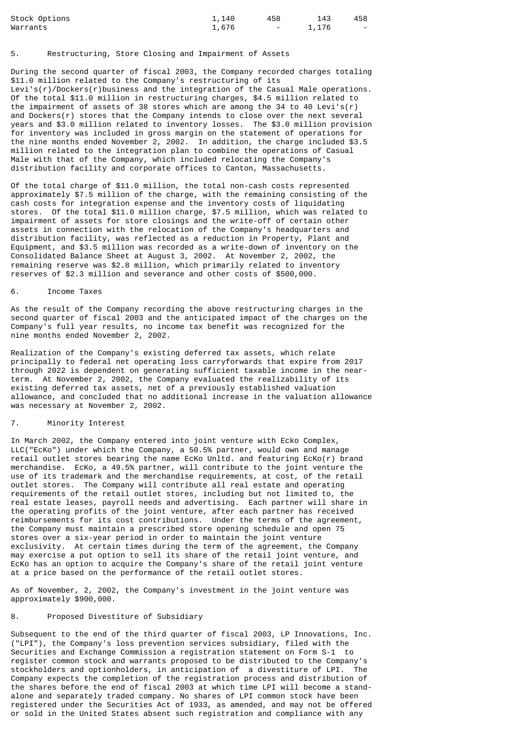| Stock Options | 1,140 | 458                               | 143   | 458    |
|---------------|-------|-----------------------------------|-------|--------|
| Warrants      | 1,676 | <b>Contract Contract Contract</b> | 1,176 | $\sim$ |

# 5. Restructuring, Store Closing and Impairment of Assets

During the second quarter of fiscal 2003, the Company recorded charges totaling \$11.0 million related to the Company's restructuring of its Levi's(r)/Dockers(r)business and the integration of the Casual Male operations. Of the total \$11.0 million in restructuring charges, \$4.5 million related to the impairment of assets of 38 stores which are among the 34 to 40 Levi's(r) and Dockers(r) stores that the Company intends to close over the next several years and \$3.0 million related to inventory losses. The \$3.0 million provision for inventory was included in gross margin on the statement of operations for the nine months ended November 2, 2002. In addition, the charge included \$3.5 million related to the integration plan to combine the operations of Casual Male with that of the Company, which included relocating the Company's distribution facility and corporate offices to Canton, Massachusetts.

Of the total charge of \$11.0 million, the total non-cash costs represented approximately \$7.5 million of the charge, with the remaining consisting of the cash costs for integration expense and the inventory costs of liquidating stores. Of the total \$11.0 million charge, \$7.5 million, which was related to impairment of assets for store closings and the write-off of certain other assets in connection with the relocation of the Company's headquarters and distribution facility, was reflected as a reduction in Property, Plant and Equipment, and \$3.5 million was recorded as a write-down of inventory on the Consolidated Balance Sheet at August 3, 2002. At November 2, 2002, the remaining reserve was \$2.8 million, which primarily related to inventory reserves of \$2.3 million and severance and other costs of \$500,000.

### 6. Income Taxes

As the result of the Company recording the above restructuring charges in the second quarter of fiscal 2003 and the anticipated impact of the charges on the Company's full year results, no income tax benefit was recognized for the nine months ended November 2, 2002.

Realization of the Company's existing deferred tax assets, which relate principally to federal net operating loss carryforwards that expire from 2017 through 2022 is dependent on generating sufficient taxable income in the nearterm. At November 2, 2002, the Company evaluated the realizability of its existing deferred tax assets, net of a previously established valuation allowance, and concluded that no additional increase in the valuation allowance was necessary at November 2, 2002.

# 7. Minority Interest

In March 2002, the Company entered into joint venture with Ecko Complex, LLC("EcKo") under which the Company, a 50.5% partner, would own and manage retail outlet stores bearing the name EcKo Unltd. and featuring EcKo(r) brand merchandise. EcKo, a 49.5% partner, will contribute to the joint venture the use of its trademark and the merchandise requirements, at cost, of the retail outlet stores. The Company will contribute all real estate and operating requirements of the retail outlet stores, including but not limited to, the real estate leases, payroll needs and advertising. Each partner will share in the operating profits of the joint venture, after each partner has received reimbursements for its cost contributions. Under the terms of the agreement, the Company must maintain a prescribed store opening schedule and open 75 stores over a six-year period in order to maintain the joint venture exclusivity. At certain times during the term of the agreement, the Company may exercise a put option to sell its share of the retail joint venture, and EcKo has an option to acquire the Company's share of the retail joint venture at a price based on the performance of the retail outlet stores.

As of November, 2, 2002, the Company's investment in the joint venture was approximately \$900,000.

# 8. Proposed Divestiture of Subsidiary

Subsequent to the end of the third quarter of fiscal 2003, LP Innovations, Inc. ("LPI"), the Company's loss prevention services subsidiary, filed with the Securities and Exchange Commission a registration statement on Form S-1 to register common stock and warrants proposed to be distributed to the Company's stockholders and optionholders, in anticipation of a divestiture of LPI. The Company expects the completion of the registration process and distribution of the shares before the end of fiscal 2003 at which time LPI will become a standalone and separately traded company. No shares of LPI common stock have been registered under the Securities Act of 1933, as amended, and may not be offered or sold in the United States absent such registration and compliance with any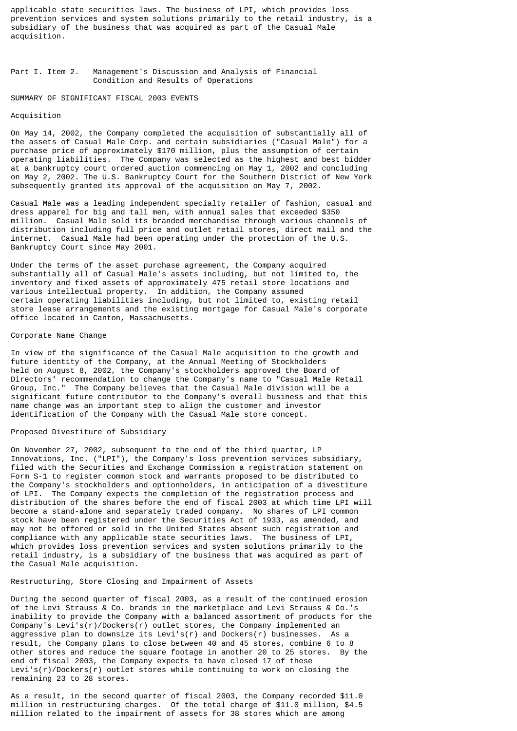applicable state securities laws. The business of LPI, which provides loss prevention services and system solutions primarily to the retail industry, is a subsidiary of the business that was acquired as part of the Casual Male acquisition.

# Part I. Item 2. Management's Discussion and Analysis of Financial Condition and Results of Operations

#### SUMMARY OF SIGNIFICANT FISCAL 2003 EVENTS

#### Acquisition

On May 14, 2002, the Company completed the acquisition of substantially all of the assets of Casual Male Corp. and certain subsidiaries ("Casual Male") for a purchase price of approximately \$170 million, plus the assumption of certain operating liabilities. The Company was selected as the highest and best bidder at a bankruptcy court ordered auction commencing on May 1, 2002 and concluding on May 2, 2002. The U.S. Bankruptcy Court for the Southern District of New York subsequently granted its approval of the acquisition on May 7, 2002.

Casual Male was a leading independent specialty retailer of fashion, casual and dress apparel for big and tall men, with annual sales that exceeded \$350 million. Casual Male sold its branded merchandise through various channels of distribution including full price and outlet retail stores, direct mail and the internet. Casual Male had been operating under the protection of the U.S. Bankruptcy Court since May 2001.

Under the terms of the asset purchase agreement, the Company acquired substantially all of Casual Male's assets including, but not limited to, the inventory and fixed assets of approximately 475 retail store locations and various intellectual property. In addition, the Company assumed certain operating liabilities including, but not limited to, existing retail store lease arrangements and the existing mortgage for Casual Male's corporate office located in Canton, Massachusetts.

#### Corporate Name Change

In view of the significance of the Casual Male acquisition to the growth and future identity of the Company, at the Annual Meeting of Stockholders held on August 8, 2002, the Company's stockholders approved the Board of Directors' recommendation to change the Company's name to "Casual Male Retail Group, Inc." The Company believes that the Casual Male division will be a significant future contributor to the Company's overall business and that this name change was an important step to align the customer and investor identification of the Company with the Casual Male store concept.

# Proposed Divestiture of Subsidiary

On November 27, 2002, subsequent to the end of the third quarter, LP Innovations, Inc. ("LPI"), the Company's loss prevention services subsidiary, filed with the Securities and Exchange Commission a registration statement on Form S-1 to register common stock and warrants proposed to be distributed to the Company's stockholders and optionholders, in anticipation of a divestiture of LPI. The Company expects the completion of the registration process and distribution of the shares before the end of fiscal 2003 at which time LPI will become a stand-alone and separately traded company. No shares of LPI common stock have been registered under the Securities Act of 1933, as amended, and may not be offered or sold in the United States absent such registration and compliance with any applicable state securities laws. The business of LPI, which provides loss prevention services and system solutions primarily to the retail industry, is a subsidiary of the business that was acquired as part of the Casual Male acquisition.

### Restructuring, Store Closing and Impairment of Assets

During the second quarter of fiscal 2003, as a result of the continued erosion of the Levi Strauss & Co. brands in the marketplace and Levi Strauss & Co.'s inability to provide the Company with a balanced assortment of products for the Company's Levi's(r)/Dockers(r) outlet stores, the Company implemented an aggressive plan to downsize its Levi's(r) and Dockers(r) businesses. As a result, the Company plans to close between 40 and 45 stores, combine 6 to 8 other stores and reduce the square footage in another 20 to 25 stores. By the end of fiscal 2003, the Company expects to have closed 17 of these Levi's(r)/Dockers(r) outlet stores while continuing to work on closing the remaining 23 to 28 stores.

As a result, in the second quarter of fiscal 2003, the Company recorded \$11.0 million in restructuring charges. Of the total charge of \$11.0 million, \$4.5 million related to the impairment of assets for 38 stores which are among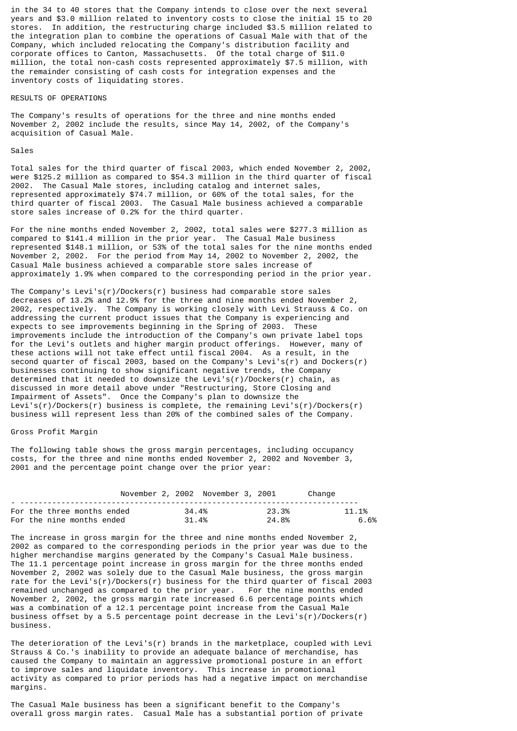in the 34 to 40 stores that the Company intends to close over the next several years and \$3.0 million related to inventory costs to close the initial 15 to 20 stores. In addition, the restructuring charge included \$3.5 million related to the integration plan to combine the operations of Casual Male with that of the Company, which included relocating the Company's distribution facility and corporate offices to Canton, Massachusetts. Of the total charge of \$11.0 million, the total non-cash costs represented approximately \$7.5 million, with the remainder consisting of cash costs for integration expenses and the inventory costs of liquidating stores.

#### RESULTS OF OPERATIONS

The Company's results of operations for the three and nine months ended November 2, 2002 include the results, since May 14, 2002, of the Company's acquisition of Casual Male.

### Sales

Total sales for the third quarter of fiscal 2003, which ended November 2, 2002, were \$125.2 million as compared to \$54.3 million in the third quarter of fiscal 2002. The Casual Male stores, including catalog and internet sales, represented approximately \$74.7 million, or 60% of the total sales, for the third quarter of fiscal 2003. The Casual Male business achieved a comparable store sales increase of 0.2% for the third quarter.

For the nine months ended November 2, 2002, total sales were \$277.3 million as compared to \$141.4 million in the prior year. The Casual Male business represented \$148.1 million, or 53% of the total sales for the nine months ended November 2, 2002. For the period from May 14, 2002 to November 2, 2002, the Casual Male business achieved a comparable store sales increase of approximately 1.9% when compared to the corresponding period in the prior year.

The Company's Levi's(r)/Dockers(r) business had comparable store sales decreases of 13.2% and 12.9% for the three and nine months ended November 2, 2002, respectively. The Company is working closely with Levi Strauss & Co. on addressing the current product issues that the Company is experiencing and expects to see improvements beginning in the Spring of 2003. These improvements include the introduction of the Company's own private label tops for the Levi's outlets and higher margin product offerings. However, many of these actions will not take effect until fiscal 2004. As a result, in the second quarter of fiscal 2003, based on the Company's Levi's(r) and Dockers(r) businesses continuing to show significant negative trends, the Company determined that it needed to downsize the Levi's(r)/Dockers(r) chain, as discussed in more detail above under "Restructuring, Store Closing and Impairment of Assets". Once the Company's plan to downsize the Levi's(r)/Dockers(r) business is complete, the remaining Levi's(r)/Dockers(r) business will represent less than 20% of the combined sales of the Company.

# Gross Profit Margin

The following table shows the gross margin percentages, including occupancy costs, for the three and nine months ended November 2, 2002 and November 3, 2001 and the percentage point change over the prior year:

|                            | November 2, 2002 November 3, 2001 |        |       | Change |       |
|----------------------------|-----------------------------------|--------|-------|--------|-------|
| For the three months ended |                                   | .34.4% | 23.3% |        | 11.1% |
| For the nine months ended  |                                   | .31.4% | 24.8% |        | 6.6%  |

The increase in gross margin for the three and nine months ended November 2, 2002 as compared to the corresponding periods in the prior year was due to the higher merchandise margins generated by the Company's Casual Male business. The 11.1 percentage point increase in gross margin for the three months ended November 2, 2002 was solely due to the Casual Male business, the gross margin rate for the Levi's(r)/Dockers(r) business for the third quarter of fiscal 2003 remained unchanged as compared to the prior year. For the nine months ended November 2, 2002, the gross margin rate increased 6.6 percentage points which was a combination of a 12.1 percentage point increase from the Casual Male business offset by a 5.5 percentage point decrease in the Levi's(r)/Dockers(r) business.

The deterioration of the Levi's(r) brands in the marketplace, coupled with Levi Strauss & Co.'s inability to provide an adequate balance of merchandise, has caused the Company to maintain an aggressive promotional posture in an effort to improve sales and liquidate inventory. This increase in promotional activity as compared to prior periods has had a negative impact on merchandise margins.

The Casual Male business has been a significant benefit to the Company's overall gross margin rates. Casual Male has a substantial portion of private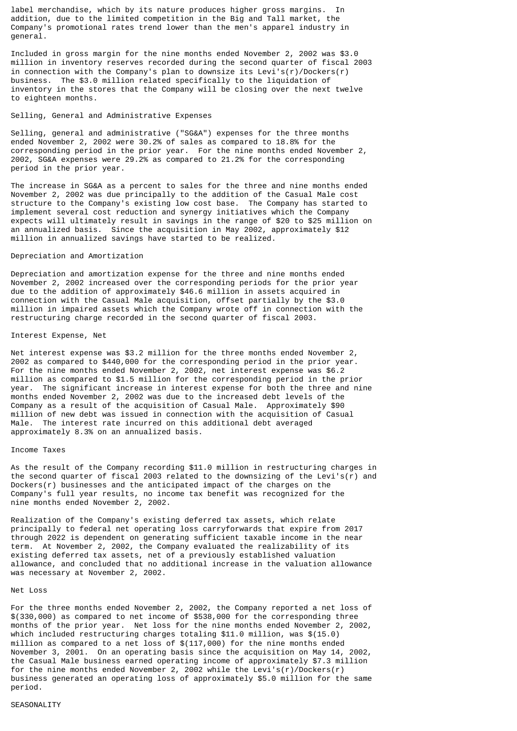label merchandise, which by its nature produces higher gross margins. In addition, due to the limited competition in the Big and Tall market, the Company's promotional rates trend lower than the men's apparel industry in general.

Included in gross margin for the nine months ended November 2, 2002 was \$3.0 million in inventory reserves recorded during the second quarter of fiscal 2003 in connection with the Company's plan to downsize its Levi's(r)/Dockers(r) business. The \$3.0 million related specifically to the liquidation of inventory in the stores that the Company will be closing over the next twelve to eighteen months.

### Selling, General and Administrative Expenses

Selling, general and administrative ("SG&A") expenses for the three months ended November 2, 2002 were 30.2% of sales as compared to 18.8% for the corresponding period in the prior year. For the nine months ended November 2, 2002, SG&A expenses were 29.2% as compared to 21.2% for the corresponding period in the prior year.

The increase in SG&A as a percent to sales for the three and nine months ended November 2, 2002 was due principally to the addition of the Casual Male cost structure to the Company's existing low cost base. The Company has started to implement several cost reduction and synergy initiatives which the Company expects will ultimately result in savings in the range of \$20 to \$25 million on an annualized basis. Since the acquisition in May 2002, approximately \$12 million in annualized savings have started to be realized.

### Depreciation and Amortization

Depreciation and amortization expense for the three and nine months ended November 2, 2002 increased over the corresponding periods for the prior year due to the addition of approximately \$46.6 million in assets acquired in connection with the Casual Male acquisition, offset partially by the \$3.0 million in impaired assets which the Company wrote off in connection with the restructuring charge recorded in the second quarter of fiscal 2003.

#### Interest Expense, Net

Net interest expense was \$3.2 million for the three months ended November 2, 2002 as compared to \$440,000 for the corresponding period in the prior year. For the nine months ended November 2, 2002, net interest expense was \$6.2 million as compared to \$1.5 million for the corresponding period in the prior year. The significant increase in interest expense for both the three and nine months ended November 2, 2002 was due to the increased debt levels of the Company as a result of the acquisition of Casual Male. Approximately \$90 million of new debt was issued in connection with the acquisition of Casual Male. The interest rate incurred on this additional debt averaged approximately 8.3% on an annualized basis.

#### Income Taxes

As the result of the Company recording \$11.0 million in restructuring charges in the second quarter of fiscal 2003 related to the downsizing of the Levi's( $\overline{r}$ ) and Dockers(r) businesses and the anticipated impact of the charges on the Company's full year results, no income tax benefit was recognized for the nine months ended November 2, 2002.

Realization of the Company's existing deferred tax assets, which relate principally to federal net operating loss carryforwards that expire from 2017 through 2022 is dependent on generating sufficient taxable income in the near term. At November 2, 2002, the Company evaluated the realizability of its existing deferred tax assets, net of a previously established valuation allowance, and concluded that no additional increase in the valuation allowance was necessary at November 2, 2002.

#### Net Loss

For the three months ended November 2, 2002, the Company reported a net loss of \$(330,000) as compared to net income of \$538,000 for the corresponding three months of the prior year. Net loss for the nine months ended November 2, 2002, which included restructuring charges totaling \$11.0 million, was \$(15.0) million as compared to a net loss of \$(117,000) for the nine months ended November 3, 2001. On an operating basis since the acquisition on May 14, 2002, the Casual Male business earned operating income of approximately \$7.3 million for the nine months ended November 2, 2002 while the Levi's(r)/Dockers(r) business generated an operating loss of approximately \$5.0 million for the same period.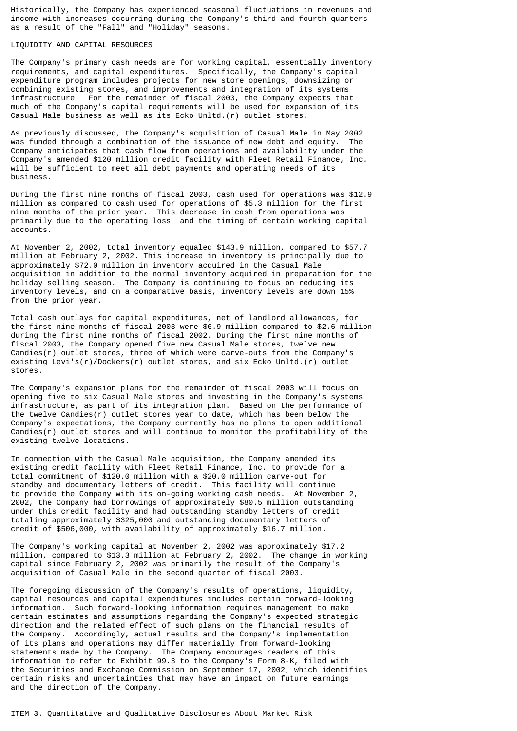Historically, the Company has experienced seasonal fluctuations in revenues and income with increases occurring during the Company's third and fourth quarters as a result of the "Fall" and "Holiday" seasons.

# LIQUIDITY AND CAPITAL RESOURCES

The Company's primary cash needs are for working capital, essentially inventory requirements, and capital expenditures. Specifically, the Company's capital expenditure program includes projects for new store openings, downsizing or combining existing stores, and improvements and integration of its systems infrastructure. For the remainder of fiscal 2003, the Company expects that much of the Company's capital requirements will be used for expansion of its Casual Male business as well as its Ecko Unltd.(r) outlet stores.

As previously discussed, the Company's acquisition of Casual Male in May 2002 was funded through a combination of the issuance of new debt and equity. The Company anticipates that cash flow from operations and availability under the Company's amended \$120 million credit facility with Fleet Retail Finance, Inc. will be sufficient to meet all debt payments and operating needs of its business.

During the first nine months of fiscal 2003, cash used for operations was \$12.9 million as compared to cash used for operations of \$5.3 million for the first nine months of the prior year. This decrease in cash from operations was primarily due to the operating loss and the timing of certain working capital accounts.

At November 2, 2002, total inventory equaled \$143.9 million, compared to \$57.7 million at February 2, 2002. This increase in inventory is principally due to approximately \$72.0 million in inventory acquired in the Casual Male acquisition in addition to the normal inventory acquired in preparation for the holiday selling season. The Company is continuing to focus on reducing its inventory levels, and on a comparative basis, inventory levels are down 15% from the prior year.

Total cash outlays for capital expenditures, net of landlord allowances, for the first nine months of fiscal 2003 were \$6.9 million compared to \$2.6 million during the first nine months of fiscal 2002. During the first nine months of fiscal 2003, the Company opened five new Casual Male stores, twelve new Candies(r) outlet stores, three of which were carve-outs from the Company's existing Levi's(r)/Dockers(r) outlet stores, and six Ecko Unltd.(r) outlet stores.

The Company's expansion plans for the remainder of fiscal 2003 will focus on opening five to six Casual Male stores and investing in the Company's systems infrastructure, as part of its integration plan. Based on the performance of the twelve Candies(r) outlet stores year to date, which has been below the Company's expectations, the Company currently has no plans to open additional Candies(r) outlet stores and will continue to monitor the profitability of the existing twelve locations.

In connection with the Casual Male acquisition, the Company amended its existing credit facility with Fleet Retail Finance, Inc. to provide for a total commitment of \$120.0 million with a \$20.0 million carve-out for standby and documentary letters of credit. This facility will continue to provide the Company with its on-going working cash needs. At November 2, 2002, the Company had borrowings of approximately \$80.5 million outstanding under this credit facility and had outstanding standby letters of credit totaling approximately \$325,000 and outstanding documentary letters of credit of \$506,000, with availability of approximately \$16.7 million.

The Company's working capital at November 2, 2002 was approximately \$17.2 million, compared to \$13.3 million at February 2, 2002. The change in working capital since February 2, 2002 was primarily the result of the Company's acquisition of Casual Male in the second quarter of fiscal 2003.

The foregoing discussion of the Company's results of operations, liquidity, capital resources and capital expenditures includes certain forward-looking information. Such forward-looking information requires management to make certain estimates and assumptions regarding the Company's expected strategic direction and the related effect of such plans on the financial results of the Company. Accordingly, actual results and the Company's implementation of its plans and operations may differ materially from forward-looking statements made by the Company. The Company encourages readers of this information to refer to Exhibit 99.3 to the Company's Form 8-K, filed with the Securities and Exchange Commission on September 17, 2002, which identifies certain risks and uncertainties that may have an impact on future earnings and the direction of the Company.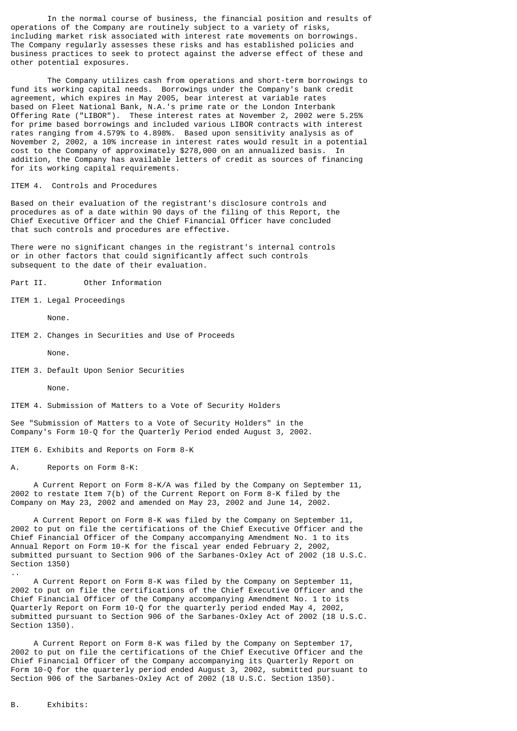In the normal course of business, the financial position and results of operations of the Company are routinely subject to a variety of risks, including market risk associated with interest rate movements on borrowings. The Company regularly assesses these risks and has established policies and business practices to seek to protect against the adverse effect of these and other potential exposures.

The Company utilizes cash from operations and short-term borrowings to fund its working capital needs. Borrowings under the Company's bank credit agreement, which expires in May 2005, bear interest at variable rates based on Fleet National Bank, N.A.'s prime rate or the London Interbank Offering Rate ("LIBOR"). These interest rates at November 2, 2002 were 5.25% for prime based borrowings and included various LIBOR contracts with interest rates ranging from 4.579% to 4.898%. Based upon sensitivity analysis as of November 2, 2002, a 10% increase in interest rates would result in a potential cost to the Company of approximately \$278,000 on an annualized basis. In addition, the Company has available letters of credit as sources of financing for its working capital requirements.

ITEM 4. Controls and Procedures

Based on their evaluation of the registrant's disclosure controls and procedures as of a date within 90 days of the filing of this Report, the Chief Executive Officer and the Chief Financial Officer have concluded that such controls and procedures are effective.

There were no significant changes in the registrant's internal controls or in other factors that could significantly affect such controls subsequent to the date of their evaluation.

Part II. Other Information

ITEM 1. Legal Proceedings

None.

ITEM 2. Changes in Securities and Use of Proceeds

None.

ITEM 3. Default Upon Senior Securities

None.

ITEM 4. Submission of Matters to a Vote of Security Holders

See "Submission of Matters to a Vote of Security Holders" in the Company's Form 10-Q for the Quarterly Period ended August 3, 2002.

ITEM 6. Exhibits and Reports on Form 8-K

A. Reports on Form 8-K:

 A Current Report on Form 8-K/A was filed by the Company on September 11, 2002 to restate Item 7(b) of the Current Report on Form 8-K filed by the Company on May 23, 2002 and amended on May 23, 2002 and June 14, 2002.

 A Current Report on Form 8-K was filed by the Company on September 11, 2002 to put on file the certifications of the Chief Executive Officer and the Chief Financial Officer of the Company accompanying Amendment No. 1 to its Annual Report on Form 10-K for the fiscal year ended February 2, 2002, submitted pursuant to Section 906 of the Sarbanes-Oxley Act of 2002 (18 U.S.C. Section 1350)

 A Current Report on Form 8-K was filed by the Company on September 11, 2002 to put on file the certifications of the Chief Executive Officer and the Chief Financial Officer of the Company accompanying Amendment No. 1 to its Quarterly Report on Form 10-Q for the quarterly period ended May 4, 2002, submitted pursuant to Section 906 of the Sarbanes-Oxley Act of 2002 (18 U.S.C. Section 1350).

 A Current Report on Form 8-K was filed by the Company on September 17, 2002 to put on file the certifications of the Chief Executive Officer and the Chief Financial Officer of the Company accompanying its Quarterly Report on Form 10-Q for the quarterly period ended August 3, 2002, submitted pursuant to Section 906 of the Sarbanes-Oxley Act of 2002 (18 U.S.C. Section 1350).

..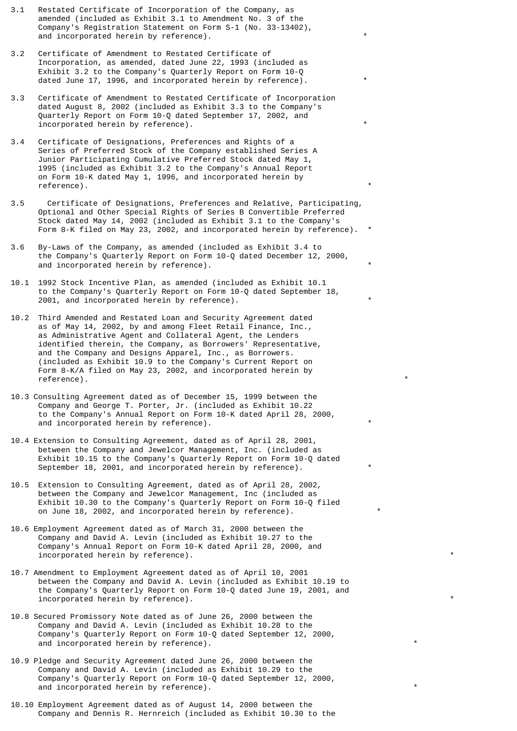- 3.1 Restated Certificate of Incorporation of the Company, as amended (included as Exhibit 3.1 to Amendment No. 3 of the Company's Registration Statement on Form S-1 (No. 33-13402), and incorporated herein by reference).
- 3.2 Certificate of Amendment to Restated Certificate of Incorporation, as amended, dated June 22, 1993 (included as Exhibit 3.2 to the Company's Quarterly Report on Form 10-Q dated June 17, 1996, and incorporated herein by reference).
- 3.3 Certificate of Amendment to Restated Certificate of Incorporation dated August 8, 2002 (included as Exhibit 3.3 to the Company's Quarterly Report on Form 10-Q dated September 17, 2002, and incorporated herein by reference).
- 3.4 Certificate of Designations, Preferences and Rights of a Series of Preferred Stock of the Company established Series A Junior Participating Cumulative Preferred Stock dated May 1, 1995 (included as Exhibit 3.2 to the Company's Annual Report on Form 10-K dated May 1, 1996, and incorporated herein by reference).
- 3.5 Certificate of Designations, Preferences and Relative, Participating, Optional and Other Special Rights of Series B Convertible Preferred Stock dated May 14, 2002 (included as Exhibit 3.1 to the Company's Form 8-K filed on May 23, 2002, and incorporated herein by reference).
- 3.6 By-Laws of the Company, as amended (included as Exhibit 3.4 to the Company's Quarterly Report on Form 10-Q dated December 12, 2000, and incorporated herein by reference).
- 10.1 1992 Stock Incentive Plan, as amended (included as Exhibit 10.1 to the Company's Quarterly Report on Form 10-Q dated September 18, 2001, and incorporated herein by reference). \*
- 10.2 Third Amended and Restated Loan and Security Agreement dated as of May 14, 2002, by and among Fleet Retail Finance, Inc., as Administrative Agent and Collateral Agent, the Lenders identified therein, the Company, as Borrowers' Representative, and the Company and Designs Apparel, Inc., as Borrowers. (included as Exhibit 10.9 to the Company's Current Report on Form 8-K/A filed on May 23, 2002, and incorporated herein by reference).
- 10.3 Consulting Agreement dated as of December 15, 1999 between the Company and George T. Porter, Jr. (included as Exhibit 10.22 to the Company's Annual Report on Form 10-K dated April 28, 2000, and incorporated herein by reference).
- 10.4 Extension to Consulting Agreement, dated as of April 28, 2001, between the Company and Jewelcor Management, Inc. (included as Exhibit 10.15 to the Company's Quarterly Report on Form 10-Q dated September 18, 2001, and incorporated herein by reference).
- 10.5 Extension to Consulting Agreement, dated as of April 28, 2002, between the Company and Jewelcor Management, Inc (included as Exhibit 10.30 to the Company's Quarterly Report on Form 10-Q filed on June 18, 2002, and incorporated herein by reference). \*
- 10.6 Employment Agreement dated as of March 31, 2000 between the Company and David A. Levin (included as Exhibit 10.27 to the Company's Annual Report on Form 10-K dated April 28, 2000, and incorporated herein by reference).
- 10.7 Amendment to Employment Agreement dated as of April 10, 2001 between the Company and David A. Levin (included as Exhibit 10.19 to the Company's Quarterly Report on Form 10-Q dated June 19, 2001, and incorporated herein by reference).
- 10.8 Secured Promissory Note dated as of June 26, 2000 between the Company and David A. Levin (included as Exhibit 10.28 to the Company's Quarterly Report on Form 10-Q dated September 12, 2000, and incorporated herein by reference).
- 10.9 Pledge and Security Agreement dated June 26, 2000 between the Company and David A. Levin (included as Exhibit 10.29 to the Company's Quarterly Report on Form 10-Q dated September 12, 2000, and incorporated herein by reference).
- 10.10 Employment Agreement dated as of August 14, 2000 between the Company and Dennis R. Hernreich (included as Exhibit 10.30 to the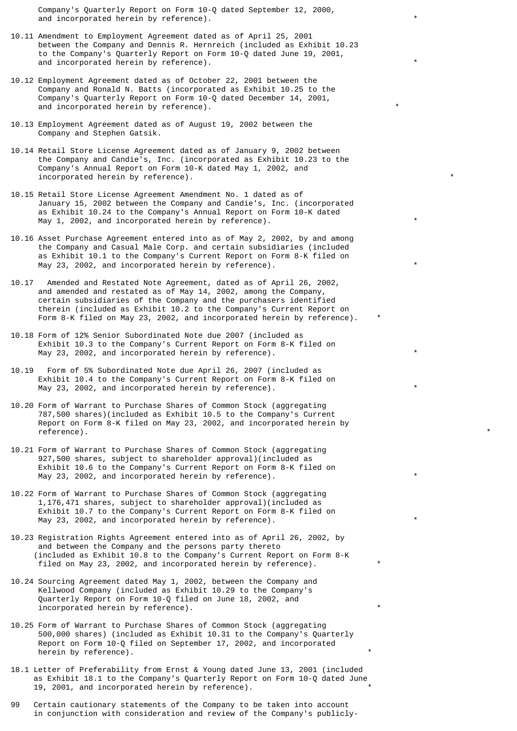Company's Quarterly Report on Form 10-Q dated September 12, 2000, and incorporated herein by reference).

- 10.11 Amendment to Employment Agreement dated as of April 25, 2001 between the Company and Dennis R. Hernreich (included as Exhibit 10.23 to the Company's Quarterly Report on Form 10-Q dated June 19, 2001, and incorporated herein by reference). \*
- 10.12 Employment Agreement dated as of October 22, 2001 between the Company and Ronald N. Batts (incorporated as Exhibit 10.25 to the Company's Quarterly Report on Form 10-Q dated December 14, 2001, and incorporated herein by reference).
- 10.13 Employment Agreement dated as of August 19, 2002 between the Company and Stephen Gatsik.
- 10.14 Retail Store License Agreement dated as of January 9, 2002 between the Company and Candie's, Inc. (incorporated as Exhibit 10.23 to the Company's Annual Report on Form 10-K dated May 1, 2002, and incorporated herein by reference).
- 10.15 Retail Store License Agreement Amendment No. 1 dated as of January 15, 2002 between the Company and Candie's, Inc. (incorporated as Exhibit 10.24 to the Company's Annual Report on Form 10-K dated May  $1, 2002,$  and incorporated herein by reference).
- 10.16 Asset Purchase Agreement entered into as of May 2, 2002, by and among the Company and Casual Male Corp. and certain subsidiaries (included as Exhibit 10.1 to the Company's Current Report on Form 8-K filed on May 23, 2002, and incorporated herein by reference).
- 10.17 Amended and Restated Note Agreement, dated as of April 26, 2002, and amended and restated as of May 14, 2002, among the Company, certain subsidiaries of the Company and the purchasers identified therein (included as Exhibit 10.2 to the Company's Current Report on Form 8-K filed on May 23, 2002, and incorporated herein by reference). \*
- 10.18 Form of 12% Senior Subordinated Note due 2007 (included as Exhibit 10.3 to the Company's Current Report on Form 8-K filed on May 23, 2002, and incorporated herein by reference).
- 10.19 Form of 5% Subordinated Note due April 26, 2007 (included as Exhibit 10.4 to the Company's Current Report on Form 8-K filed on May 23, 2002, and incorporated herein by reference).
- 10.20 Form of Warrant to Purchase Shares of Common Stock (aggregating 787,500 shares)(included as Exhibit 10.5 to the Company's Current Report on Form 8-K filed on May 23, 2002, and incorporated herein by reference). \*
- 10.21 Form of Warrant to Purchase Shares of Common Stock (aggregating 927,500 shares, subject to shareholder approval)(included as Exhibit 10.6 to the Company's Current Report on Form 8-K filed on May 23, 2002, and incorporated herein by reference).
- 10.22 Form of Warrant to Purchase Shares of Common Stock (aggregating 1,176,471 shares, subject to shareholder approval)(included as Exhibit 10.7 to the Company's Current Report on Form 8-K filed on May 23, 2002, and incorporated herein by reference).
- 10.23 Registration Rights Agreement entered into as of April 26, 2002, by and between the Company and the persons party thereto (included as Exhibit 10.8 to the Company's Current Report on Form 8-K filed on May 23, 2002, and incorporated herein by reference).
- 10.24 Sourcing Agreement dated May 1, 2002, between the Company and Kellwood Company (included as Exhibit 10.29 to the Company's Quarterly Report on Form 10-Q filed on June 18, 2002, and incorporated herein by reference).
- 10.25 Form of Warrant to Purchase Shares of Common Stock (aggregating 500,000 shares) (included as Exhibit 10.31 to the Company's Quarterly Report on Form 10-Q filed on September 17, 2002, and incorporated herein by reference).
- 18.1 Letter of Preferability from Ernst & Young dated June 13, 2001 (included as Exhibit 18.1 to the Company's Quarterly Report on Form 10-Q dated June 19, 2001, and incorporated herein by reference). \*
- 99 Certain cautionary statements of the Company to be taken into account in conjunction with consideration and review of the Company's publicly-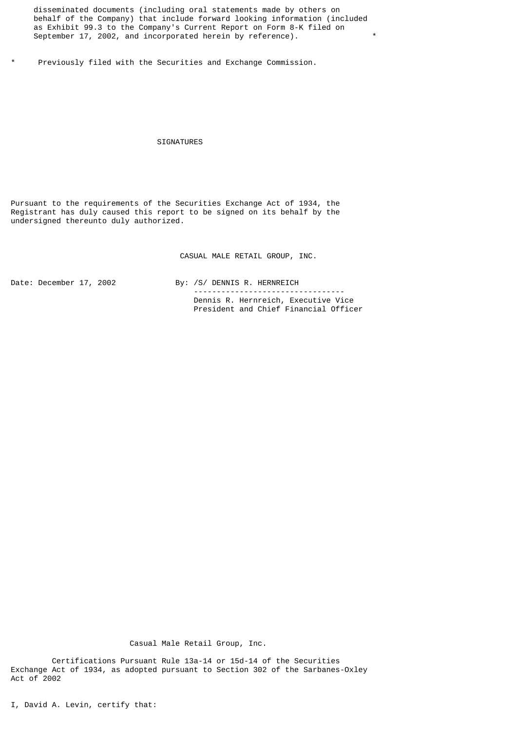disseminated documents (including oral statements made by others on behalf of the Company) that include forward looking information (included as Exhibit 99.3 to the Company's Current Report on Form 8-K filed on September 17, 2002, and incorporated herein by reference).

Previously filed with the Securities and Exchange Commission.

#### SIGNATURES

Pursuant to the requirements of the Securities Exchange Act of 1934, the Registrant has duly caused this report to be signed on its behalf by the undersigned thereunto duly authorized.

CASUAL MALE RETAIL GROUP, INC.

Date: December 17, 2002 By: /S/ DENNIS R. HERNREICH --------------------------------- Dennis R. Hernreich, Executive Vice President and Chief Financial Officer

Casual Male Retail Group, Inc.

 Certifications Pursuant Rule 13a-14 or 15d-14 of the Securities Exchange Act of 1934, as adopted pursuant to Section 302 of the Sarbanes-Oxley Act of 2002

I, David A. Levin, certify that: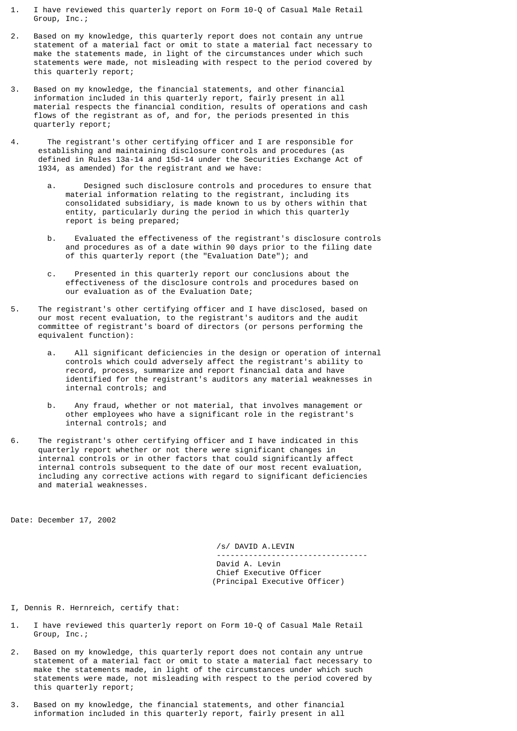- 1. I have reviewed this quarterly report on Form 10-Q of Casual Male Retail Group, Inc.;
- 2. Based on my knowledge, this quarterly report does not contain any untrue statement of a material fact or omit to state a material fact necessary to make the statements made, in light of the circumstances under which such statements were made, not misleading with respect to the period covered by this quarterly report;
- 3. Based on my knowledge, the financial statements, and other financial information included in this quarterly report, fairly present in all material respects the financial condition, results of operations and cash flows of the registrant as of, and for, the periods presented in this quarterly report;
- 4. The registrant's other certifying officer and I are responsible for establishing and maintaining disclosure controls and procedures (as defined in Rules 13a-14 and 15d-14 under the Securities Exchange Act of 1934, as amended) for the registrant and we have:
	- a. Designed such disclosure controls and procedures to ensure that material information relating to the registrant, including its consolidated subsidiary, is made known to us by others within that entity, particularly during the period in which this quarterly report is being prepared;
	- b. Evaluated the effectiveness of the registrant's disclosure controls and procedures as of a date within 90 days prior to the filing date of this quarterly report (the "Evaluation Date"); and
	- c. Presented in this quarterly report our conclusions about the effectiveness of the disclosure controls and procedures based on our evaluation as of the Evaluation Date;
- 5. The registrant's other certifying officer and I have disclosed, based on our most recent evaluation, to the registrant's auditors and the audit committee of registrant's board of directors (or persons performing the equivalent function):
	- a. All significant deficiencies in the design or operation of internal controls which could adversely affect the registrant's ability to record, process, summarize and report financial data and have identified for the registrant's auditors any material weaknesses in internal controls; and
	- b. Any fraud, whether or not material, that involves management or other employees who have a significant role in the registrant's internal controls; and
- 6. The registrant's other certifying officer and I have indicated in this quarterly report whether or not there were significant changes in internal controls or in other factors that could significantly affect internal controls subsequent to the date of our most recent evaluation, including any corrective actions with regard to significant deficiencies and material weaknesses.

Date: December 17, 2002

 /s/ DAVID A.LEVIN --------------------------------- David A. Levin Chief Executive Officer (Principal Executive Officer)

- I, Dennis R. Hernreich, certify that:
- 1. I have reviewed this quarterly report on Form 10-Q of Casual Male Retail Group, Inc.;
- 2. Based on my knowledge, this quarterly report does not contain any untrue statement of a material fact or omit to state a material fact necessary to make the statements made, in light of the circumstances under which such statements were made, not misleading with respect to the period covered by this quarterly report;
- 3. Based on my knowledge, the financial statements, and other financial information included in this quarterly report, fairly present in all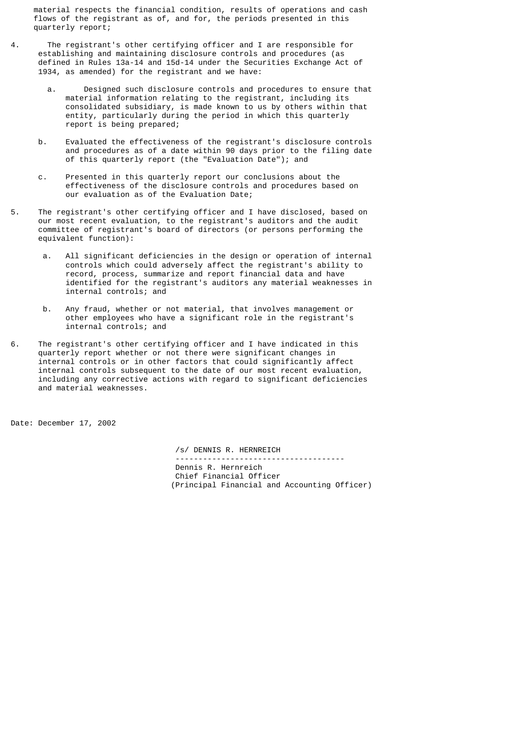material respects the financial condition, results of operations and cash flows of the registrant as of, and for, the periods presented in this quarterly report;

- 4. The registrant's other certifying officer and I are responsible for establishing and maintaining disclosure controls and procedures (as defined in Rules 13a-14 and 15d-14 under the Securities Exchange Act of 1934, as amended) for the registrant and we have:
- a. Designed such disclosure controls and procedures to ensure that material information relating to the registrant, including its consolidated subsidiary, is made known to us by others within that entity, particularly during the period in which this quarterly report is being prepared;
	- b. Evaluated the effectiveness of the registrant's disclosure controls and procedures as of a date within 90 days prior to the filing date of this quarterly report (the "Evaluation Date"); and
	- c. Presented in this quarterly report our conclusions about the effectiveness of the disclosure controls and procedures based on our evaluation as of the Evaluation Date;
- 5. The registrant's other certifying officer and I have disclosed, based on our most recent evaluation, to the registrant's auditors and the audit committee of registrant's board of directors (or persons performing the equivalent function):
	- a. All significant deficiencies in the design or operation of internal controls which could adversely affect the registrant's ability to record, process, summarize and report financial data and have identified for the registrant's auditors any material weaknesses in internal controls; and
	- b. Any fraud, whether or not material, that involves management or other employees who have a significant role in the registrant's internal controls; and
- 6. The registrant's other certifying officer and I have indicated in this quarterly report whether or not there were significant changes in internal controls or in other factors that could significantly affect internal controls subsequent to the date of our most recent evaluation, including any corrective actions with regard to significant deficiencies and material weaknesses.

Date: December 17, 2002

 /s/ DENNIS R. HERNREICH ------------------------------------- Dennis R. Hernreich Chief Financial Officer (Principal Financial and Accounting Officer)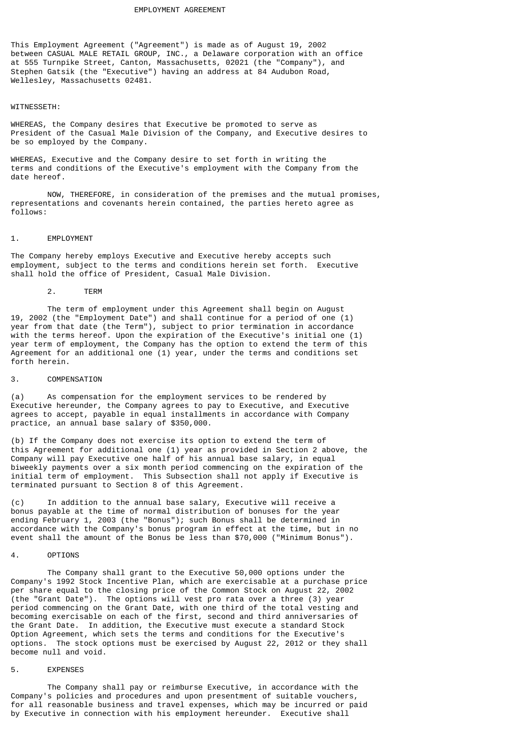This Employment Agreement ("Agreement") is made as of August 19, 2002 between CASUAL MALE RETAIL GROUP, INC., a Delaware corporation with an office at 555 Turnpike Street, Canton, Massachusetts, 02021 (the "Company"), and Stephen Gatsik (the "Executive") having an address at 84 Audubon Road, Wellesley, Massachusetts 02481.

#### WITNESSETH:

WHEREAS, the Company desires that Executive be promoted to serve as President of the Casual Male Division of the Company, and Executive desires to be so employed by the Company.

WHEREAS, Executive and the Company desire to set forth in writing the terms and conditions of the Executive's employment with the Company from the date hereof.

NOW, THEREFORE, in consideration of the premises and the mutual promises, representations and covenants herein contained, the parties hereto agree as follows:

#### 1. EMPLOYMENT

The Company hereby employs Executive and Executive hereby accepts such employment, subject to the terms and conditions herein set forth. Executive shall hold the office of President, Casual Male Division.

#### 2. TERM

The term of employment under this Agreement shall begin on August 19, 2002 (the "Employment Date") and shall continue for a period of one (1) year from that date (the Term"), subject to prior termination in accordance with the terms hereof. Upon the expiration of the Executive's initial one (1) year term of employment, the Company has the option to extend the term of this Agreement for an additional one (1) year, under the terms and conditions set forth herein.

# 3. COMPENSATION

(a) As compensation for the employment services to be rendered by Executive hereunder, the Company agrees to pay to Executive, and Executive agrees to accept, payable in equal installments in accordance with Company practice, an annual base salary of \$350,000.

(b) If the Company does not exercise its option to extend the term of this Agreement for additional one (1) year as provided in Section 2 above, the Company will pay Executive one half of his annual base salary, in equal biweekly payments over a six month period commencing on the expiration of the initial term of employment. This Subsection shall not apply if Executive is terminated pursuant to Section 8 of this Agreement.

(c) In addition to the annual base salary, Executive will receive a bonus payable at the time of normal distribution of bonuses for the year ending February 1, 2003 (the "Bonus"); such Bonus shall be determined in accordance with the Company's bonus program in effect at the time, but in no event shall the amount of the Bonus be less than \$70,000 ("Minimum Bonus").

### 4. OPTIONS

The Company shall grant to the Executive 50,000 options under the Company's 1992 Stock Incentive Plan, which are exercisable at a purchase price per share equal to the closing price of the Common Stock on August 22, 2002 (the "Grant Date"). The options will vest pro rata over a three (3) year period commencing on the Grant Date, with one third of the total vesting and becoming exercisable on each of the first, second and third anniversaries of the Grant Date. In addition, the Executive must execute a standard Stock Option Agreement, which sets the terms and conditions for the Executive's options. The stock options must be exercised by August 22, 2012 or they shall become null and void.

# 5. EXPENSES

The Company shall pay or reimburse Executive, in accordance with the Company's policies and procedures and upon presentment of suitable vouchers, for all reasonable business and travel expenses, which may be incurred or paid by Executive in connection with his employment hereunder. Executive shall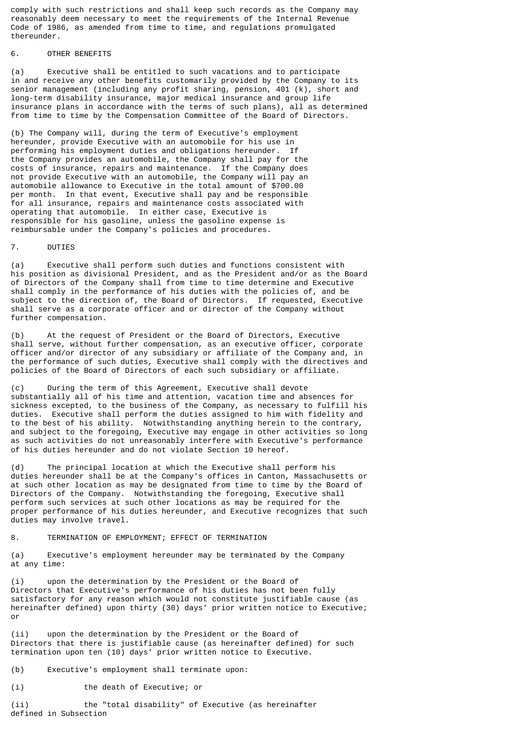comply with such restrictions and shall keep such records as the Company may reasonably deem necessary to meet the requirements of the Internal Revenue Code of 1986, as amended from time to time, and regulations promulgated thereunder.

# 6. OTHER BENEFITS

(a) Executive shall be entitled to such vacations and to participate in and receive any other benefits customarily provided by the Company to its senior management (including any profit sharing, pension, 401 (k), short and long-term disability insurance, major medical insurance and group life insurance plans in accordance with the terms of such plans), all as determined from time to time by the Compensation Committee of the Board of Directors.

(b) The Company will, during the term of Executive's employment hereunder, provide Executive with an automobile for his use in performing his employment duties and obligations hereunder. If the Company provides an automobile, the Company shall pay for the costs of insurance, repairs and maintenance. If the Company does not provide Executive with an automobile, the Company will pay an automobile allowance to Executive in the total amount of \$700.00 per month. In that event, Executive shall pay and be responsible for all insurance, repairs and maintenance costs associated with operating that automobile. In either case, Executive is responsible for his gasoline, unless the gasoline expense is reimbursable under the Company's policies and procedures.

## 7. DUTIES

(a) Executive shall perform such duties and functions consistent with his position as divisional President, and as the President and/or as the Board of Directors of the Company shall from time to time determine and Executive shall comply in the performance of his duties with the policies of, and be subject to the direction of, the Board of Directors. If requested, Executive shall serve as a corporate officer and or director of the Company without further compensation.

(b) At the request of President or the Board of Directors, Executive shall serve, without further compensation, as an executive officer, corporate officer and/or director of any subsidiary or affiliate of the Company and, in the performance of such duties, Executive shall comply with the directives and policies of the Board of Directors of each such subsidiary or affiliate.

(c) During the term of this Agreement, Executive shall devote substantially all of his time and attention, vacation time and absences for sickness excepted, to the business of the Company, as necessary to fulfill his duties. Executive shall perform the duties assigned to him with fidelity and to the best of his ability. Notwithstanding anything herein to the contrary, and subject to the foregoing, Executive may engage in other activities so long as such activities do not unreasonably interfere with Executive's performance of his duties hereunder and do not violate Section 10 hereof.

(d) The principal location at which the Executive shall perform his duties hereunder shall be at the Company's offices in Canton, Massachusetts or at such other location as may be designated from time to time by the Board of Directors of the Company. Notwithstanding the foregoing, Executive shall perform such services at such other locations as may be required for the proper performance of his duties hereunder, and Executive recognizes that such duties may involve travel.

# 8. TERMINATION OF EMPLOYMENT; EFFECT OF TERMINATION

(a) Executive's employment hereunder may be terminated by the Company at any time:

(i) upon the determination by the President or the Board of Directors that Executive's performance of his duties has not been fully satisfactory for any reason which would not constitute justifiable cause (as hereinafter defined) upon thirty (30) days' prior written notice to Executive; or

(ii) upon the determination by the President or the Board of Directors that there is justifiable cause (as hereinafter defined) for such termination upon ten (10) days' prior written notice to Executive.

(b) Executive's employment shall terminate upon:

(i) the death of Executive; or

(ii) the "total disability" of Executive (as hereinafter defined in Subsection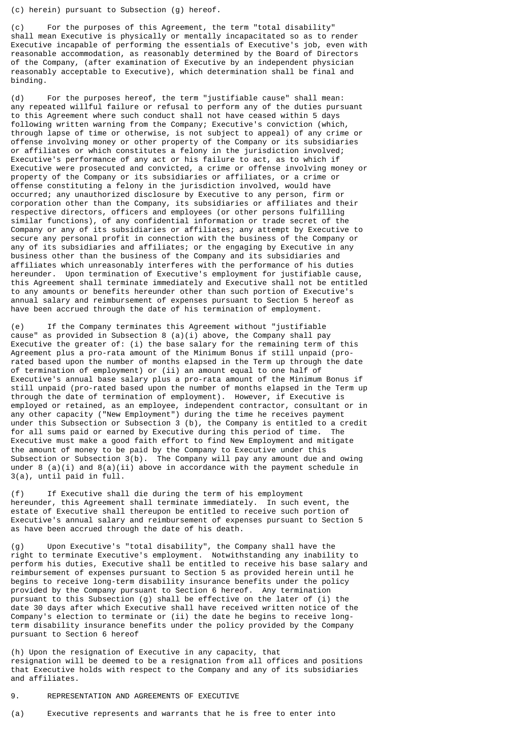(c) herein) pursuant to Subsection (g) hereof.

(c) For the purposes of this Agreement, the term "total disability" shall mean Executive is physically or mentally incapacitated so as to render Executive incapable of performing the essentials of Executive's job, even with reasonable accommodation, as reasonably determined by the Board of Directors of the Company, (after examination of Executive by an independent physician reasonably acceptable to Executive), which determination shall be final and binding.

(d) For the purposes hereof, the term "justifiable cause" shall mean: any repeated willful failure or refusal to perform any of the duties pursuant to this Agreement where such conduct shall not have ceased within 5 days following written warning from the Company; Executive's conviction (which, through lapse of time or otherwise, is not subject to appeal) of any crime or offense involving money or other property of the Company or its subsidiaries or affiliates or which constitutes a felony in the jurisdiction involved; Executive's performance of any act or his failure to act, as to which if Executive were prosecuted and convicted, a crime or offense involving money or property of the Company or its subsidiaries or affiliates, or a crime or offense constituting a felony in the jurisdiction involved, would have occurred; any unauthorized disclosure by Executive to any person, firm or corporation other than the Company, its subsidiaries or affiliates and their respective directors, officers and employees (or other persons fulfilling similar functions), of any confidential information or trade secret of the Company or any of its subsidiaries or affiliates; any attempt by Executive to secure any personal profit in connection with the business of the Company or any of its subsidiaries and affiliates; or the engaging by Executive in any business other than the business of the Company and its subsidiaries and affiliates which unreasonably interferes with the performance of his duties hereunder. Upon termination of Executive's employment for justifiable cause, this Agreement shall terminate immediately and Executive shall not be entitled to any amounts or benefits hereunder other than such portion of Executive's annual salary and reimbursement of expenses pursuant to Section 5 hereof as have been accrued through the date of his termination of employment.

(e) If the Company terminates this Agreement without "justifiable cause" as provided in Subsection 8  $(a)(i)$  above, the Company shall pay Executive the greater of: (i) the base salary for the remaining term of this Agreement plus a pro-rata amount of the Minimum Bonus if still unpaid (prorated based upon the number of months elapsed in the Term up through the date of termination of employment) or (ii) an amount equal to one half of Executive's annual base salary plus a pro-rata amount of the Minimum Bonus if still unpaid (pro-rated based upon the number of months elapsed in the Term up through the date of termination of employment). However, if Executive is employed or retained, as an employee, independent contractor, consultant or in any other capacity ("New Employment") during the time he receives payment under this Subsection or Subsection 3 (b), the Company is entitled to a credit for all sums paid or earned by Executive during this period of time. The Executive must make a good faith effort to find New Employment and mitigate the amount of money to be paid by the Company to Executive under this Subsection or Subsection 3(b). The Company will pay any amount due and owing under 8 (a)(i) and 8(a)(ii) above in accordance with the payment schedule in 3(a), until paid in full.

(f) If Executive shall die during the term of his employment hereunder, this Agreement shall terminate immediately. In such event, the estate of Executive shall thereupon be entitled to receive such portion of Executive's annual salary and reimbursement of expenses pursuant to Section 5 as have been accrued through the date of his death.

(g) Upon Executive's "total disability", the Company shall have the right to terminate Executive's employment. Notwithstanding any inability to perform his duties, Executive shall be entitled to receive his base salary and reimbursement of expenses pursuant to Section 5 as provided herein until he begins to receive long-term disability insurance benefits under the policy provided by the Company pursuant to Section 6 hereof. Any termination pursuant to this Subsection (g) shall be effective on the later of (i) the date 30 days after which Executive shall have received written notice of the Company's election to terminate or (ii) the date he begins to receive longterm disability insurance benefits under the policy provided by the Company pursuant to Section 6 hereof

(h) Upon the resignation of Executive in any capacity, that resignation will be deemed to be a resignation from all offices and positions that Executive holds with respect to the Company and any of its subsidiaries and affiliates.

### 9. REPRESENTATION AND AGREEMENTS OF EXECUTIVE

(a) Executive represents and warrants that he is free to enter into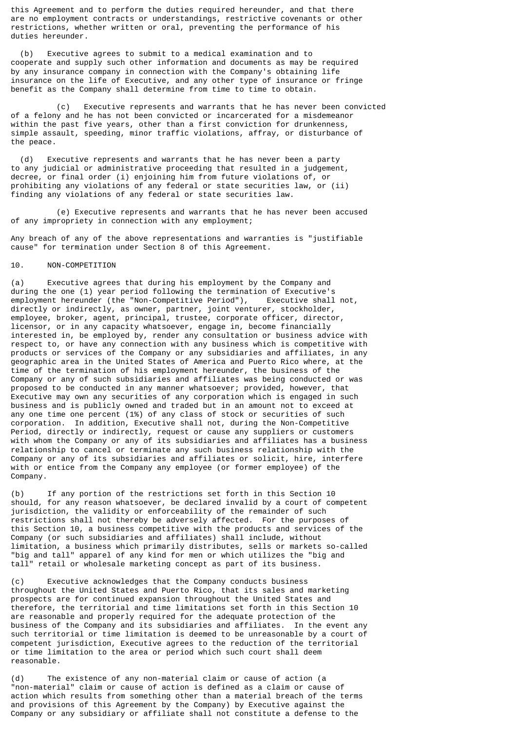this Agreement and to perform the duties required hereunder, and that there are no employment contracts or understandings, restrictive covenants or other restrictions, whether written or oral, preventing the performance of his duties hereunder.

 (b) Executive agrees to submit to a medical examination and to cooperate and supply such other information and documents as may be required by any insurance company in connection with the Company's obtaining life insurance on the life of Executive, and any other type of insurance or fringe benefit as the Company shall determine from time to time to obtain.

 (c) Executive represents and warrants that he has never been convicted of a felony and he has not been convicted or incarcerated for a misdemeanor within the past five years, other than a first conviction for drunkenness, simple assault, speeding, minor traffic violations, affray, or disturbance of the peace.

 (d) Executive represents and warrants that he has never been a party to any judicial or administrative proceeding that resulted in a judgement, decree, or final order (i) enjoining him from future violations of, or prohibiting any violations of any federal or state securities law, or (ii) finding any violations of any federal or state securities law.

 (e) Executive represents and warrants that he has never been accused of any impropriety in connection with any employment;

Any breach of any of the above representations and warranties is "justifiable cause" for termination under Section 8 of this Agreement.

#### 10. NON-COMPETITION

(a) Executive agrees that during his employment by the Company and during the one (1) year period following the termination of Executive's employment hereunder (the "Non-Competitive Period"), Executive shall not, directly or indirectly, as owner, partner, joint venturer, stockholder, employee, broker, agent, principal, trustee, corporate officer, director, licensor, or in any capacity whatsoever, engage in, become financially interested in, be employed by, render any consultation or business advice with respect to, or have any connection with any business which is competitive with products or services of the Company or any subsidiaries and affiliates, in any geographic area in the United States of America and Puerto Rico where, at the time of the termination of his employment hereunder, the business of the Company or any of such subsidiaries and affiliates was being conducted or was proposed to be conducted in any manner whatsoever; provided, however, that Executive may own any securities of any corporation which is engaged in such business and is publicly owned and traded but in an amount not to exceed at any one time one percent (1%) of any class of stock or securities of such corporation. In addition, Executive shall not, during the Non-Competitive Period, directly or indirectly, request or cause any suppliers or customers with whom the Company or any of its subsidiaries and affiliates has a business relationship to cancel or terminate any such business relationship with the Company or any of its subsidiaries and affiliates or solicit, hire, interfere with or entice from the Company any employee (or former employee) of the Company.

(b) If any portion of the restrictions set forth in this Section 10 should, for any reason whatsoever, be declared invalid by a court of competent jurisdiction, the validity or enforceability of the remainder of such restrictions shall not thereby be adversely affected. For the purposes of this Section 10, a business competitive with the products and services of the Company (or such subsidiaries and affiliates) shall include, without limitation, a business which primarily distributes, sells or markets so-called "big and tall" apparel of any kind for men or which utilizes the "big and tall" retail or wholesale marketing concept as part of its business.

(c) Executive acknowledges that the Company conducts business throughout the United States and Puerto Rico, that its sales and marketing prospects are for continued expansion throughout the United States and therefore, the territorial and time limitations set forth in this Section 10 are reasonable and properly required for the adequate protection of the business of the Company and its subsidiaries and affiliates. In the event any such territorial or time limitation is deemed to be unreasonable by a court of competent jurisdiction, Executive agrees to the reduction of the territorial or time limitation to the area or period which such court shall deem reasonable.

(d) The existence of any non-material claim or cause of action (a "non-material" claim or cause of action is defined as a claim or cause of action which results from something other than a material breach of the terms and provisions of this Agreement by the Company) by Executive against the Company or any subsidiary or affiliate shall not constitute a defense to the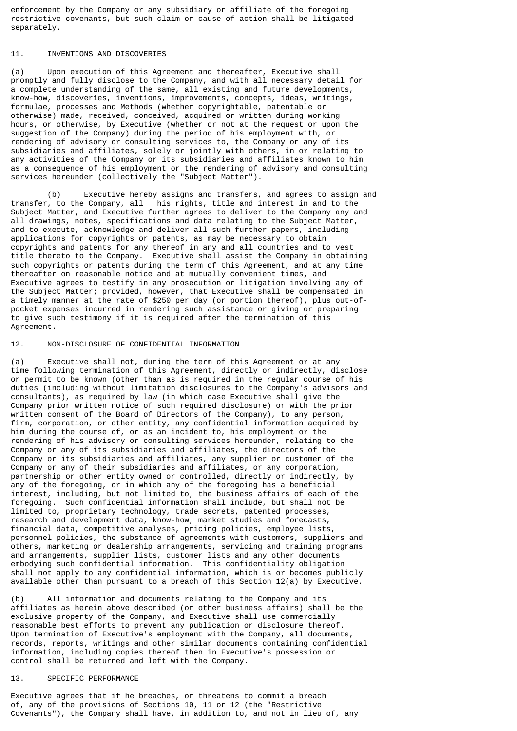enforcement by the Company or any subsidiary or affiliate of the foregoing restrictive covenants, but such claim or cause of action shall be litigated separately.

# 11. INVENTIONS AND DISCOVERIES

(a) Upon execution of this Agreement and thereafter, Executive shall promptly and fully disclose to the Company, and with all necessary detail for a complete understanding of the same, all existing and future developments, know-how, discoveries, inventions, improvements, concepts, ideas, writings, formulae, processes and Methods (whether copyrightable, patentable or otherwise) made, received, conceived, acquired or written during working hours, or otherwise, by Executive (whether or not at the request or upon the suggestion of the Company) during the period of his employment with, or rendering of advisory or consulting services to, the Company or any of its subsidiaries and affiliates, solely or jointly with others, in or relating to any activities of the Company or its subsidiaries and affiliates known to him as a consequence of his employment or the rendering of advisory and consulting services hereunder (collectively the "Subject Matter").

(b) Executive hereby assigns and transfers, and agrees to assign and transfer, to the Company, all his rights, title and interest in and to the Subject Matter, and Executive further agrees to deliver to the Company any and all drawings, notes, specifications and data relating to the Subject Matter, and to execute, acknowledge and deliver all such further papers, including applications for copyrights or patents, as may be necessary to obtain copyrights and patents for any thereof in any and all countries and to vest title thereto to the Company. Executive shall assist the Company in obtaining such copyrights or patents during the term of this Agreement, and at any time thereafter on reasonable notice and at mutually convenient times, and Executive agrees to testify in any prosecution or litigation involving any of the Subject Matter; provided, however, that Executive shall be compensated in a timely manner at the rate of \$250 per day (or portion thereof), plus out-ofpocket expenses incurred in rendering such assistance or giving or preparing to give such testimony if it is required after the termination of this Agreement.

12. NON-DISCLOSURE OF CONFIDENTIAL INFORMATION

(a) Executive shall not, during the term of this Agreement or at any time following termination of this Agreement, directly or indirectly, disclose or permit to be known (other than as is required in the regular course of his duties (including without limitation disclosures to the Company's advisors and consultants), as required by law (in which case Executive shall give the Company prior written notice of such required disclosure) or with the prior written consent of the Board of Directors of the Company), to any person, firm, corporation, or other entity, any confidential information acquired by him during the course of, or as an incident to, his employment or the rendering of his advisory or consulting services hereunder, relating to the Company or any of its subsidiaries and affiliates, the directors of the Company or its subsidiaries and affiliates, any supplier or customer of the Company or any of their subsidiaries and affiliates, or any corporation, partnership or other entity owned or controlled, directly or indirectly, by any of the foregoing, or in which any of the foregoing has a beneficial interest, including, but not limited to, the business affairs of each of the foregoing. Such confidential information shall include, but shall not be limited to, proprietary technology, trade secrets, patented processes, research and development data, know-how, market studies and forecasts, financial data, competitive analyses, pricing policies, employee lists, personnel policies, the substance of agreements with customers, suppliers and others, marketing or dealership arrangements, servicing and training programs and arrangements, supplier lists, customer lists and any other documents embodying such confidential information. This confidentiality obligation shall not apply to any confidential information, which is or becomes publicly available other than pursuant to a breach of this Section 12(a) by Executive.

(b) All information and documents relating to the Company and its affiliates as herein above described (or other business affairs) shall be the exclusive property of the Company, and Executive shall use commercially reasonable best efforts to prevent any publication or disclosure thereof. Upon termination of Executive's employment with the Company, all documents, records, reports, writings and other similar documents containing confidential information, including copies thereof then in Executive's possession or control shall be returned and left with the Company.

# 13. SPECIFIC PERFORMANCE

Executive agrees that if he breaches, or threatens to commit a breach of, any of the provisions of Sections 10, 11 or 12 (the "Restrictive Covenants"), the Company shall have, in addition to, and not in lieu of, any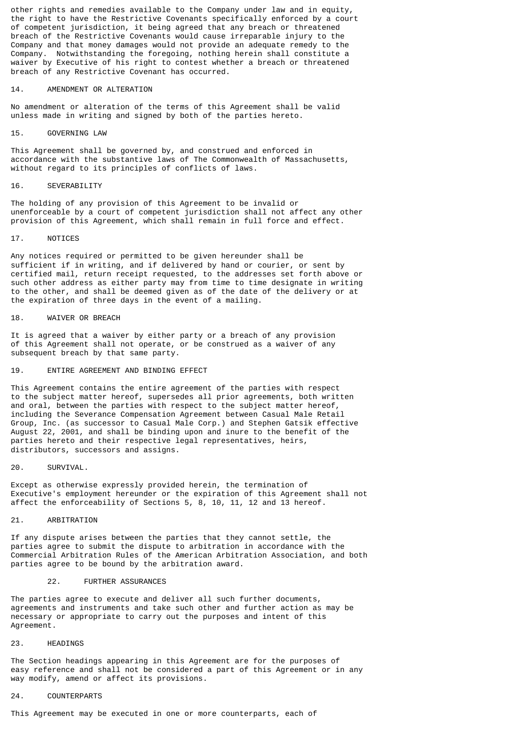other rights and remedies available to the Company under law and in equity, the right to have the Restrictive Covenants specifically enforced by a court of competent jurisdiction, it being agreed that any breach or threatened breach of the Restrictive Covenants would cause irreparable injury to the Company and that money damages would not provide an adequate remedy to the Company. Notwithstanding the foregoing, nothing herein shall constitute a waiver by Executive of his right to contest whether a breach or threatened breach of any Restrictive Covenant has occurred.

#### 14. AMENDMENT OR ALTERATION

No amendment or alteration of the terms of this Agreement shall be valid unless made in writing and signed by both of the parties hereto.

#### 15. GOVERNING LAW

This Agreement shall be governed by, and construed and enforced in accordance with the substantive laws of The Commonwealth of Massachusetts, without regard to its principles of conflicts of laws.

# 16. SEVERABILITY

The holding of any provision of this Agreement to be invalid or unenforceable by a court of competent jurisdiction shall not affect any other provision of this Agreement, which shall remain in full force and effect.

### 17. NOTICES

Any notices required or permitted to be given hereunder shall be sufficient if in writing, and if delivered by hand or courier, or sent by certified mail, return receipt requested, to the addresses set forth above or such other address as either party may from time to time designate in writing to the other, and shall be deemed given as of the date of the delivery or at the expiration of three days in the event of a mailing.

### 18. WAIVER OR BREACH

It is agreed that a waiver by either party or a breach of any provision of this Agreement shall not operate, or be construed as a waiver of any subsequent breach by that same party.

# 19. ENTIRE AGREEMENT AND BINDING EFFECT

This Agreement contains the entire agreement of the parties with respect to the subject matter hereof, supersedes all prior agreements, both written and oral, between the parties with respect to the subject matter hereof, including the Severance Compensation Agreement between Casual Male Retail Group, Inc. (as successor to Casual Male Corp.) and Stephen Gatsik effective August 22, 2001, and shall be binding upon and inure to the benefit of the parties hereto and their respective legal representatives, heirs, distributors, successors and assigns.

### 20. SURVIVAL.

Except as otherwise expressly provided herein, the termination of Executive's employment hereunder or the expiration of this Agreement shall not affect the enforceability of Sections 5, 8, 10, 11, 12 and 13 hereof.

### 21. ARBITRATION

If any dispute arises between the parties that they cannot settle, the parties agree to submit the dispute to arbitration in accordance with the Commercial Arbitration Rules of the American Arbitration Association, and both parties agree to be bound by the arbitration award.

### 22. FURTHER ASSURANCES

The parties agree to execute and deliver all such further documents, agreements and instruments and take such other and further action as may be necessary or appropriate to carry out the purposes and intent of this Agreement.

# 23. HEADINGS

The Section headings appearing in this Agreement are for the purposes of easy reference and shall not be considered a part of this Agreement or in any way modify, amend or affect its provisions.

### 24. COUNTERPARTS

This Agreement may be executed in one or more counterparts, each of